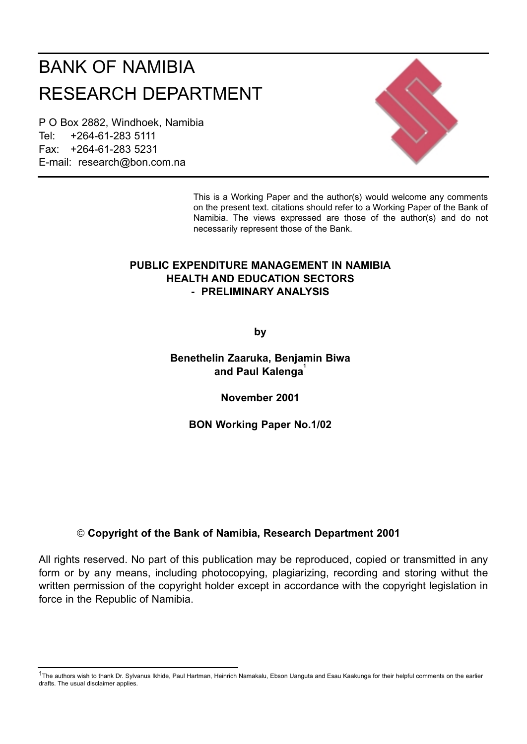# BANK OF NAMIBIA RESEARCH DEPARTMENT

P O Box 2882, Windhoek, Namibia Tel: +264-61-283 5111 Fax: +264-61-283 5231 E-mail: research@bon.com.na



This is a Working Paper and the author(s) would welcome any comments on the present text. citations should refer to a Working Paper of the Bank of Namibia. The views expressed are those of the author(s) and do not necessarily represent those of the Bank.

# **PUBLIC EXPENDITURE MANAGEMENT IN NAMIBIA HEALTH AND EDUCATION SECTORS - PRELIMINARY ANALYSIS**

**by**

# **Benethelin Zaaruka, Benjamin Biwa** and Paul Kalenga<sup>1</sup>

**November 2001**

**BON Working Paper No.1/02**

# © **Copyright of the Bank of Namibia, Research Department 2001**

All rights reserved. No part of this publication may be reproduced, copied or transmitted in any form or by any means, including photocopying, plagiarizing, recording and storing withut the written permission of the copyright holder except in accordance with the copyright legislation in force in the Republic of Namibia.

<sup>&</sup>lt;sup>1</sup>The authors wish to thank Dr. Sylvanus Ikhide, Paul Hartman, Heinrich Namakalu, Ebson Uanguta and Esau Kaakunga for their helpful comments on the earlier drafts. The usual disclaimer applies.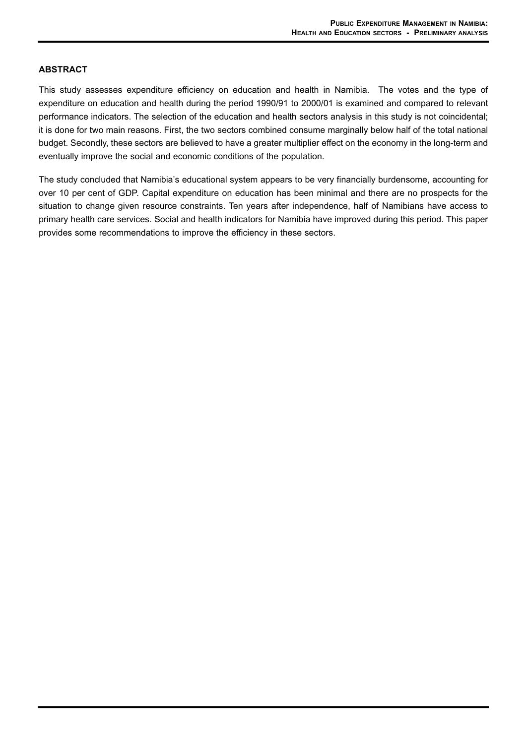#### **ABSTRACT**

This study assesses expenditure efficiency on education and health in Namibia. The votes and the type of expenditure on education and health during the period 1990/91 to 2000/01 is examined and compared to relevant performance indicators. The selection of the education and health sectors analysis in this study is not coincidental; it is done for two main reasons. First, the two sectors combined consume marginally below half of the total national budget. Secondly, these sectors are believed to have a greater multiplier effect on the economy in the long-term and eventually improve the social and economic conditions of the population.

The study concluded that Namibia's educational system appears to be very financially burdensome, accounting for over 10 per cent of GDP. Capital expenditure on education has been minimal and there are no prospects for the situation to change given resource constraints. Ten years after independence, half of Namibians have access to primary health care services. Social and health indicators for Namibia have improved during this period. This paper provides some recommendations to improve the efficiency in these sectors.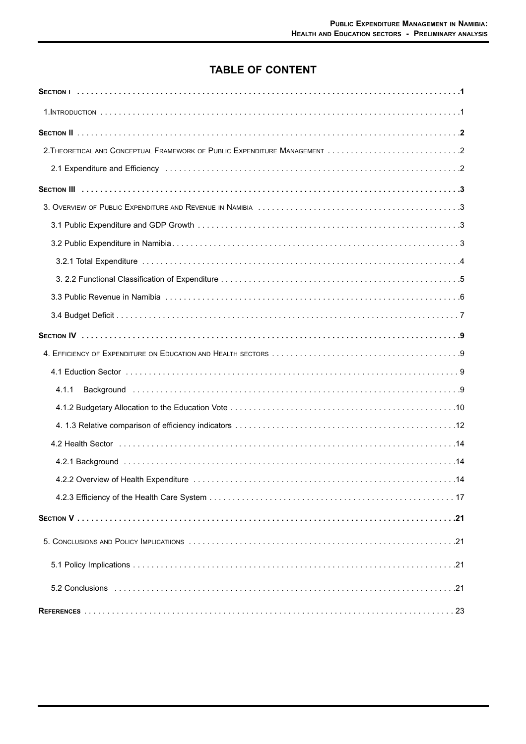# **TABLE OF CONTENT**

| 4.1.1                                                                                                               |
|---------------------------------------------------------------------------------------------------------------------|
|                                                                                                                     |
|                                                                                                                     |
|                                                                                                                     |
|                                                                                                                     |
| 14. A.2.2 Overview of Health Expenditure contract contract contract contract of the discovery of Health Expenditure |
|                                                                                                                     |
|                                                                                                                     |
|                                                                                                                     |
|                                                                                                                     |
|                                                                                                                     |
|                                                                                                                     |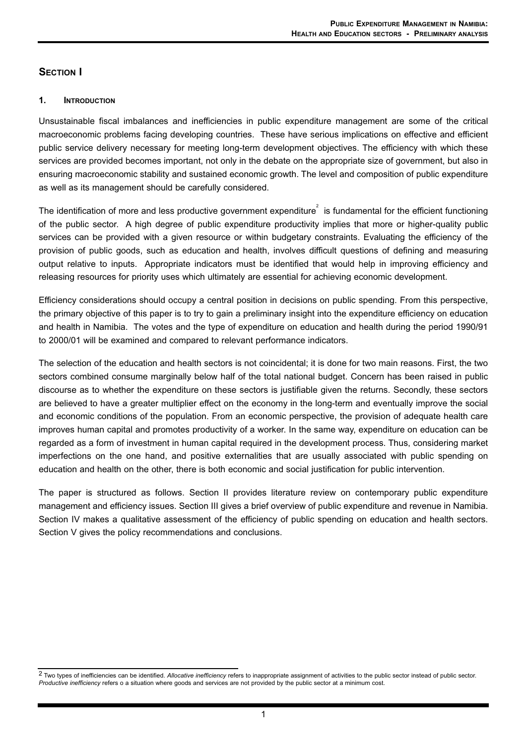# **SECTION I**

#### **1. INTRODUCTION**

Unsustainable fiscal imbalances and inefficiencies in public expenditure management are some of the critical macroeconomic problems facing developing countries. These have serious implications on effective and efficient public service delivery necessary for meeting long-term development objectives. The efficiency with which these services are provided becomes important, not only in the debate on the appropriate size of government, but also in ensuring macroeconomic stability and sustained economic growth. The level and composition of public expenditure as well as its management should be carefully considered.

The identification of more and less productive government expenditure $\degree$  is fundamental for the efficient functioning of the public sector. A high degree of public expenditure productivity implies that more or higher-quality public services can be provided with a given resource or within budgetary constraints. Evaluating the efficiency of the provision of public goods, such as education and health, involves difficult questions of defining and measuring output relative to inputs. Appropriate indicators must be identified that would help in improving efficiency and releasing resources for priority uses which ultimately are essential for achieving economic development.

Efficiency considerations should occupy a central position in decisions on public spending. From this perspective, the primary objective of this paper is to try to gain a preliminary insight into the expenditure efficiency on education and health in Namibia. The votes and the type of expenditure on education and health during the period 1990/91 to 2000/01 will be examined and compared to relevant performance indicators.

The selection of the education and health sectors is not coincidental; it is done for two main reasons. First, the two sectors combined consume marginally below half of the total national budget. Concern has been raised in public discourse as to whether the expenditure on these sectors is justifiable given the returns. Secondly, these sectors are believed to have a greater multiplier effect on the economy in the long-term and eventually improve the social and economic conditions of the population. From an economic perspective, the provision of adequate health care improves human capital and promotes productivity of a worker. In the same way, expenditure on education can be regarded as a form of investment in human capital required in the development process. Thus, considering market imperfections on the one hand, and positive externalities that are usually associated with public spending on education and health on the other, there is both economic and social justification for public intervention.

The paper is structured as follows. Section II provides literature review on contemporary public expenditure management and efficiency issues. Section III gives a brief overview of public expenditure and revenue in Namibia. Section IV makes a qualitative assessment of the efficiency of public spending on education and health sectors. Section V gives the policy recommendations and conclusions.

<sup>2</sup> Two types of inefficiencies can be identified. *Allocative inefficiency* refers to inappropriate assignment of activities to the public sector instead of public sector. *Productive inefficiency* refers o a situation where goods and services are not provided by the public sector at a minimum cost.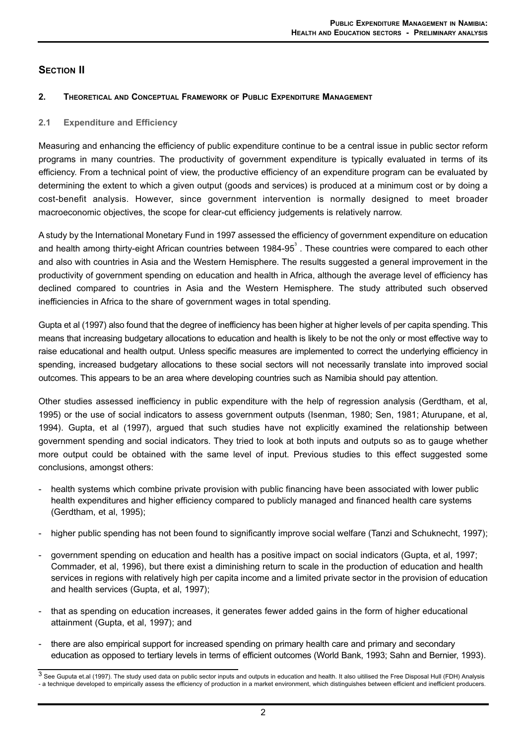# **SECTION II**

#### **2. THEORETICAL AND CONCEPTUAL FRAMEWORK OF PUBLIC EXPENDITURE MANAGEMENT**

#### **2.1 Expenditure and Efficiency**

Measuring and enhancing the efficiency of public expenditure continue to be a central issue in public sector reform programs in many countries. The productivity of government expenditure is typically evaluated in terms of its efficiency. From a technical point of view, the productive efficiency of an expenditure program can be evaluated by determining the extent to which a given output (goods and services) is produced at a minimum cost or by doing a cost-benefit analysis. However, since government intervention is normally designed to meet broader macroeconomic objectives, the scope for clear-cut efficiency judgements is relatively narrow.

A study by the International Monetary Fund in 1997 assessed the efficiency of government expenditure on education and health among thirty-eight African countries between 1984-95 $^{\circ}$  . These countries were compared to each other and also with countries in Asia and the Western Hemisphere. The results suggested a general improvement in the productivity of government spending on education and health in Africa, although the average level of efficiency has declined compared to countries in Asia and the Western Hemisphere. The study attributed such observed inefficiencies in Africa to the share of government wages in total spending.

Gupta et al (1997) also found that the degree of inefficiency has been higher at higher levels of per capita spending. This means that increasing budgetary allocations to education and health is likely to be not the only or most effective way to raise educational and health output. Unless specific measures are implemented to correct the underlying efficiency in spending, increased budgetary allocations to these social sectors will not necessarily translate into improved social outcomes. This appears to be an area where developing countries such as Namibia should pay attention.

Other studies assessed inefficiency in public expenditure with the help of regression analysis (Gerdtham, et al, 1995) or the use of social indicators to assess government outputs (Isenman, 1980; Sen, 1981; Aturupane, et al, 1994). Gupta, et al (1997), argued that such studies have not explicitly examined the relationship between government spending and social indicators. They tried to look at both inputs and outputs so as to gauge whether more output could be obtained with the same level of input. Previous studies to this effect suggested some conclusions, amongst others:

- health systems which combine private provision with public financing have been associated with lower public health expenditures and higher efficiency compared to publicly managed and financed health care systems (Gerdtham, et al, 1995);
- higher public spending has not been found to significantly improve social welfare (Tanzi and Schuknecht, 1997);
- -government spending on education and health has a positive impact on social indicators (Gupta, et al, 1997; Commader, et al, 1996), but there exist a diminishing return to scale in the production of education and health services in regions with relatively high per capita income and a limited private sector in the provision of education and health services (Gupta, et al, 1997);
- that as spending on education increases, it generates fewer added gains in the form of higher educational attainment (Gupta, et al, 1997); and
- there are also empirical support for increased spending on primary health care and primary and secondary education as opposed to tertiary levels in terms of efficient outcomes (World Bank, 1993; Sahn and Bernier, 1993).

<sup>3</sup> See Guputa et.al (1997). The study used data on public sector inputs and outputs in education and health. It also uitilised the Free Disposal Hull (FDH) Analysis - a technique developed to empirically assess the efficiency of production in a market environment, which distinguishes between efficient and inefficient producers.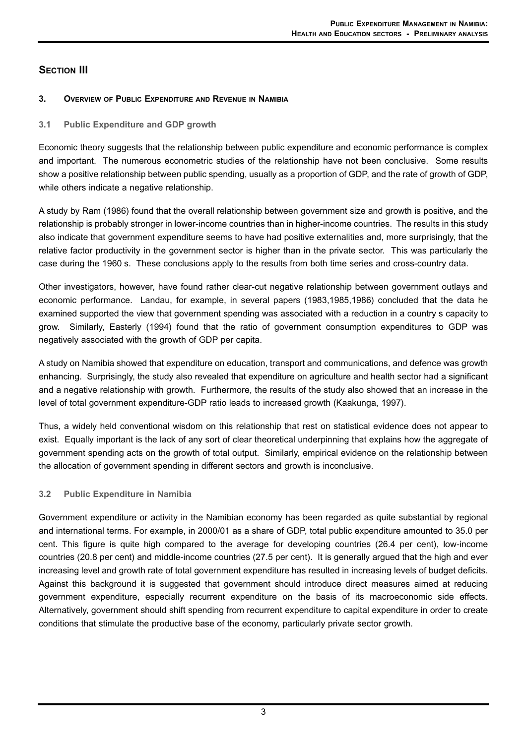# **SECTION III**

# **3. OVERVIEW OF PUBLIC EXPENDITURE AND REVENUE IN NAMIBIA**

## **3.1 Public Expenditure and GDP growth**

Economic theory suggests that the relationship between public expenditure and economic performance is complex and important. The numerous econometric studies of the relationship have not been conclusive. Some results show a positive relationship between public spending, usually as a proportion of GDP, and the rate of growth of GDP, while others indicate a negative relationship.

A study by Ram (1986) found that the overall relationship between government size and growth is positive, and the relationship is probably stronger in lower-income countries than in higher-income countries. The results in this study also indicate that government expenditure seems to have had positive externalities and, more surprisingly, that the relative factor productivity in the government sector is higher than in the private sector. This was particularly the case during the 1960 s. These conclusions apply to the results from both time series and cross-country data.

Other investigators, however, have found rather clear-cut negative relationship between government outlays and economic performance. Landau, for example, in several papers (1983,1985,1986) concluded that the data he examined supported the view that government spending was associated with a reduction in a country s capacity to grow. Similarly, Easterly (1994) found that the ratio of government consumption expenditures to GDPwas negatively associated with the growth of GDP per capita.

A study on Namibia showed that expenditure on education, transport and communications, and defence was growth enhancing. Surprisingly, the study also revealed that expenditure on agriculture and health sector had a significant and a negative relationship with growth. Furthermore, the results of the study also showed that an increase in the level of total government expenditure-GDP ratio leads to increased growth (Kaakunga, 1997).

Thus, a widely held conventional wisdom on this relationship that rest on statistical evidence does not appear to exist. Equally important is the lack of any sort of clear theoretical underpinning that explains how the aggregate of government spending acts on the growth of total output. Similarly, empirical evidence on the relationship between the allocation of government spending in different sectors and growth is inconclusive.

# **3.2 Public Expenditure in Namibia**

Government expenditure or activity in the Namibian economy has been regarded as quite substantial by regional and international terms. For example, in 2000/01 as a share of GDP, total public expenditure amounted to 35.0 per cent. This figure is quite high compared to the average for developing countries (26.4 per cent), low-income countries (20.8 per cent) and middle-income countries (27.5 per cent). It is generally argued that the high and ever increasing level and growth rate of total government expenditure has resulted in increasing levels of budget deficits. Against this background it is suggested that government should introduce direct measures aimed at reducing government expenditure, especially recurrent expenditure on the basis of its macroeconomic side effects. Alternatively, government should shift spending from recurrent expenditure to capital expenditure in order to create conditions that stimulate the productive base of the economy, particularly private sector growth.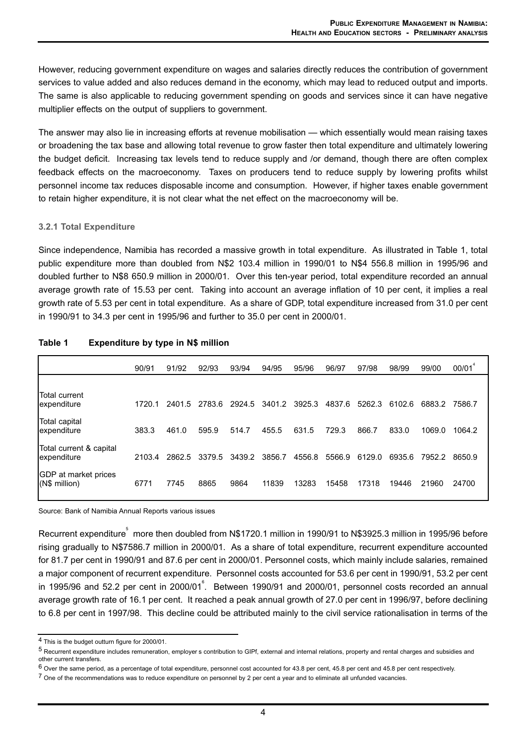However, reducing government expenditure on wages and salaries directly reduces the contribution of government services to value added and also reduces demand in the economy, which may lead to reduced output and imports. The same is also applicable to reducing government spending on goods and services since it can have negative multiplier effects on the output of suppliers to government.

The answer may also lie in increasing efforts at revenue mobilisation — which essentially would mean raising taxes or broadening the tax base and allowing total revenue to grow faster then total expenditure and ultimately lowering the budget deficit. Increasing tax levels tend to reduce supply and /or demand, though there are often complex feedback effects on the macroeconomy. Taxes on producers tend to reduce supply by lowering profits whilst personnel income tax reduces disposable income and consumption. However, if higher taxes enable government to retain higher expenditure, it is not clear what the net effect on the macroeconomy will be.

#### **3.2.1 Total Expenditure**

Since independence, Namibia has recorded a massive growth in total expenditure. As illustrated in Table 1, total public expenditure more than doubled from N\$2 103.4 million in 1990/01 to N\$4 556.8 million in 1995/96 and doubled further to N\$8 650.9 million in 2000/01. Over this ten-year period, total expenditure recorded an annual average growth rate of 15.53 per cent. Taking into account an average inflation of 10 per cent, it implies a real growth rate of 5.53 per cent in total expenditure. As a share of GDP, total expenditure increased from 31.0 per cent in 1990/91 to 34.3 per cent in 1995/96 and further to 35.0 per cent in 2000/01.

|                                         | 90/91  | 91/92  | 92/93  | 93/94  | 94/95  | 95/96  | 96/97  | 97/98  | 98/99  | 99/00  | 00/01  |
|-----------------------------------------|--------|--------|--------|--------|--------|--------|--------|--------|--------|--------|--------|
|                                         |        |        |        |        |        |        |        |        |        |        |        |
| Total current<br>lexpenditure           | 1720.1 | 2401.5 | 2783.6 | 2924.5 | 3401.2 | 3925.3 | 4837.6 | 5262.3 | 6102.6 | 6883.2 | 7586.7 |
| Total capital<br>lexpenditure           | 383.3  | 461.0  | 595.9  | 514.7  | 455.5  | 631.5  | 729.3  | 866.7  | 833.0  | 1069.0 | 1064.2 |
| Total current & capital<br>lexpenditure | 2103.4 | 2862.5 | 3379.5 | 3439.2 | 3856.7 | 4556.8 | 5566.9 | 6129.0 | 6935.6 | 7952.2 | 8650.9 |
| GDP at market prices<br>(N\$ million)   | 6771   | 7745   | 8865   | 9864   | 11839  | 13283  | 15458  | 17318  | 19446  | 21960  | 24700  |

## **Table 1 Expenditure by type in N\$ million**

Source: Bank of Namibia Annual Reports various issues

Recurrent expenditure ល more then doubled from N\$1720.1 million in 1990/91 to N\$3925.3 million in 1995/96 before rising gradually to N\$7586.7 million in 2000/01. As a share of total expenditure, recurrent expenditure accounted for 81.7 per cent in 1990/91 and 87.6 per cent in 2000/01. Personnel costs, which mainly include salaries, remained a major component of recurrent expenditure. Personnel costs accounted for 53.6 per cent in 1990/91, 53.2 per cent in 1995/96 and 52.2 per cent in 2000/01 $\degree$ . Between 1990/91 and 2000/01, personnel costs recorded an annual average growth rate of 16.1 per cent. It reached a peak annual growth of 27.0 per cent in 1996/97, before declining to 6.8 per cent in 1997/98. This decline could be attributed mainly to the civil service rationalisation in terms of the

<sup>4</sup> This is the budget outturn figure for 2000/01.

<sup>5</sup> Recurrent expenditure includes remuneration, employer s contribution to GIPf, external and internal relations, property and rental charges and subsidies and other current transfers.

 $6$  Over the same period, as a percentage of total expenditure, personnel cost accounted for 43.8 per cent, 45.8 per cent and 45.8 per cent respectively.

<sup>&</sup>lt;sup>7</sup> One of the recommendations was to reduce expenditure on personnel by 2 per cent a year and to eliminate all unfunded vacancies.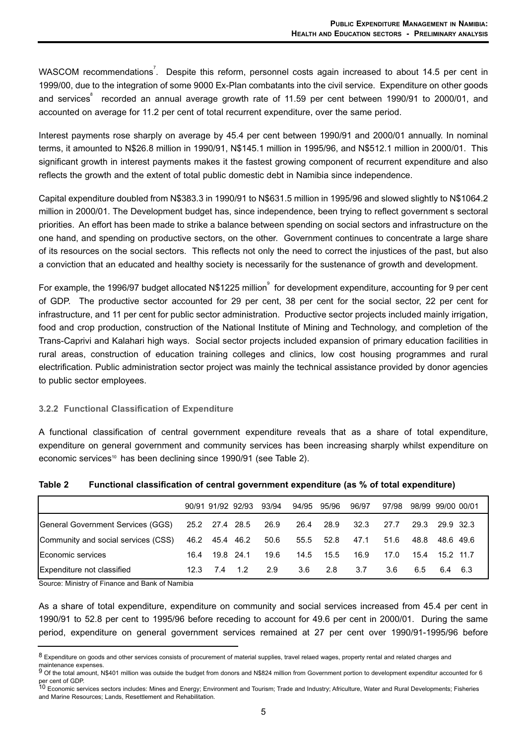WASCOM recommendations<sup>7</sup>. Despite this reform, personnel costs again increased to about 14.5 per cent in 1999/00, due to the integration of some 9000 Ex-Plan combatants into the civil service. Expenditure on other goods and services<sup>®</sup> recorded an annual average growth rate of 11.59 per cent between 1990/91 to 2000/01, and accounted on average for 11.2 per cent of total recurrent expenditure, over the same period.

Interest payments rose sharply on average by 45.4 per cent between 1990/91 and 2000/01 annually. In nominal terms, it amounted to N\$26.8 million in 1990/91, N\$145.1 million in 1995/96, and N\$512.1 million in 2000/01. This significant growth in interest payments makes it the fastest growing component of recurrent expenditure and also reflects the growth and the extent of total public domestic debt in Namibia since independence.

Capital expenditure doubled from N\$383.3 in 1990/91 to N\$631.5 million in 1995/96 and slowed slightly to N\$1064.2 million in 2000/01. The Development budget has, since independence, been trying to reflect government s sectoral priorities. An effort has been made to strike a balance between spending on social sectors and infrastructure on the one hand, and spending on productive sectors, on the other. Government continues to concentrate a large share of its resources on the social sectors. This reflects not only the need to correct the injustices of the past, but also a conviction that an educated and healthy society is necessarily for the sustenance of growth and development.

For example, the 1996/97 budget allocated N\$1225 million<sup>9</sup> for development expenditure, accounting for 9 per cent of GDP. The productive sector accounted for 29 per cent, 38 per cent for the social sector, 22 per cent for infrastructure, and 11 per cent for public sector administration. Productive sector projects included mainly irrigation, food and crop production, construction of the National Institute of Mining and Technology, and completion of the Trans-Caprivi and Kalahari high ways. Social sector projects included expansion of primary education facilities in rural areas, construction of education training colleges and clinics, low cost housing programmes and rural electrification. Public administration sector project was mainly the technical assistance provided by donor agencies to public sector employees.

#### **3.2.2 Functional Classification of Expenditure**

A functional classification of central government expenditure reveals that as a share of total expenditure, expenditure on general government and community services has been increasing sharply whilst expenditure on economic services<sup>10</sup> has been declining since 1990/91 (see Table 2).

|                                                       |      |           | 90/91 91/92 92/93 | 93/94 | 94/95 95/96 |      | 96/97 | 97/98 | 98/99 99/00 00/01 |           |  |
|-------------------------------------------------------|------|-----------|-------------------|-------|-------------|------|-------|-------|-------------------|-----------|--|
| General Government Services (GGS) 25.2 27.4 28.5 26.9 |      |           |                   |       | 26.4        | 28.9 | 32.3  | 27.7  | 29.3              | 29.9 32.3 |  |
| Community and social services (CSS)                   |      |           | 46.2 45.4 46.2    | 50.6  | 55.5        | 52.8 | 47.1  | 51.6  | 48.8              | 48.6 49.6 |  |
| Economic services                                     | 16.4 | 19.8 24.1 |                   | 19.6  | 14.5        | 15.5 | 16.9  | 17.0  | 15.4              | 15.2 11.7 |  |
| Expenditure not classified                            | 12.3 | 7.4       | 1.2               | 2.9   | 3.6         | 2.8  | 3.7   | 3.6   | 6.5               | 6.4 6.3   |  |

| Table 2 | Functional classification of central government expenditure (as % of total expenditure) |  |  |  |
|---------|-----------------------------------------------------------------------------------------|--|--|--|
|---------|-----------------------------------------------------------------------------------------|--|--|--|

Source: Ministry of Finance and Bank of Namibia

As a share of total expenditure, expenditure on community and social services increased from 45.4 per cent in 1990/91 to 52.8 per cent to 1995/96 before receding to account for 49.6 per cent in 2000/01. During the same period, expenditure on general government services remained at 27 per cent over 1990/91-1995/96 before

<sup>8</sup> Expenditure on goods and other services consists of procurement of material supplies, travel relaed wages, property rental and related charges and

maintenance expenses.<br><sup>9</sup> Of the total amount, N\$401 million was outside the budget from donors and N\$824 million from Government portion to development expenditur accounted for 6

per cent of GDP.<br><sup>10</sup> Economic services sectors includes: Mines and Energy; Environment and Tourism; Trade and Industry; Africulture, Water and Rural Developments; Fisheries and Marine Resources; Lands, Resettlement and Rehabilitation.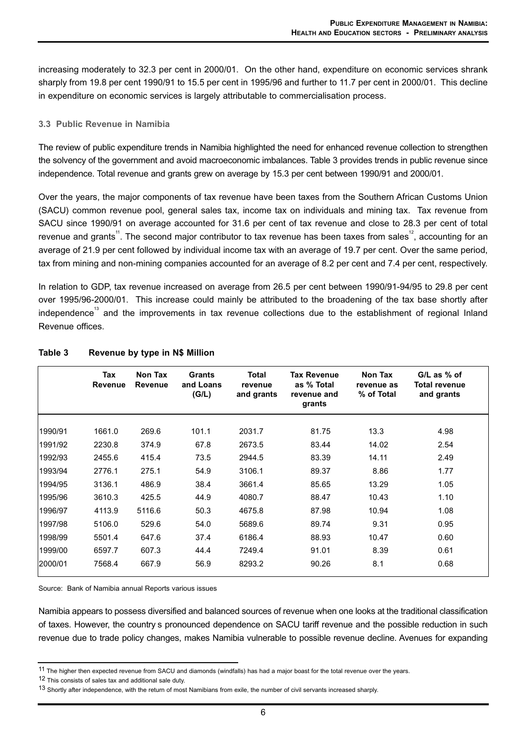increasing moderately to 32.3 per cent in 2000/01. On the other hand, expenditure on economic services shrank sharply from 19.8 per cent 1990/91 to 15.5 per cent in 1995/96 and further to 11.7 per cent in 2000/01. This decline in expenditure on economic services is largely attributable to commercialisation process.

#### **3.3 Public Revenue in Namibia**

The review of public expenditure trends in Namibia highlighted the need for enhanced revenue collection to strengthen the solvency of the government and avoid macroeconomic imbalances. Table 3 provides trends in public revenue since independence. Total revenue and grants grew on average by 15.3 per cent between 1990/91 and 2000/01.

Over the years, the major components of tax revenue have been taxes from the Southern African Customs Union (SACU) common revenue pool, general sales tax, income tax on individuals and mining tax. Tax revenue from SACU since 1990/91 on average accounted for 31.6 per cent of tax revenue and close to 28.3 per cent of total revenue and grants<sup>11</sup>. The second major contributor to tax revenue has been taxes from sales<sup>12</sup>, accounting for an average of 21.9 per cent followed by individual income tax with an average of 19.7 per cent. Over the same period, tax from mining and non-mining companies accounted for an average of 8.2 per cent and 7.4 per cent, respectively.

In relation to GDP, tax revenue increased on average from 26.5 per cent between 1990/91-94/95 to 29.8 per cent over 1995/96-2000/01. This increase could mainly be attributed to the broadening of the tax base shortly after independence<sup>13</sup> and the improvements in tax revenue collections due to the establishment of regional Inland Revenue offices.

|         | Tax<br><b>Revenue</b> | Non Tax<br><b>Revenue</b> | <b>Grants</b><br>and Loans<br>(G/L) | <b>Total</b><br>revenue<br>and grants | <b>Tax Revenue</b><br>as % Total<br>revenue and<br>grants | <b>Non Tax</b><br>revenue as<br>% of Total | $GL$ as $%$ of<br><b>Total revenue</b><br>and grants |
|---------|-----------------------|---------------------------|-------------------------------------|---------------------------------------|-----------------------------------------------------------|--------------------------------------------|------------------------------------------------------|
| 1990/91 | 1661.0                | 269.6                     | 101.1                               | 2031.7                                | 81.75                                                     | 13.3                                       | 4.98                                                 |
| 1991/92 | 2230.8                | 374.9                     | 67.8                                | 2673.5                                | 83.44                                                     | 14.02                                      | 2.54                                                 |
| 1992/93 | 2455.6                | 415.4                     | 73.5                                | 2944.5                                | 83.39                                                     | 14.11                                      | 2.49                                                 |
| 1993/94 | 2776.1                | 275.1                     | 54.9                                | 3106.1                                | 89.37                                                     | 8.86                                       | 1.77                                                 |
| 1994/95 | 3136.1                | 486.9                     | 38.4                                | 3661.4                                | 85.65                                                     | 13.29                                      | 1.05                                                 |
| 1995/96 | 3610.3                | 425.5                     | 44.9                                | 4080.7                                | 88.47                                                     | 10.43                                      | 1.10                                                 |
| 1996/97 | 4113.9                | 5116.6                    | 50.3                                | 4675.8                                | 87.98                                                     | 10.94                                      | 1.08                                                 |
| 1997/98 | 5106.0                | 529.6                     | 54.0                                | 5689.6                                | 89.74                                                     | 9.31                                       | 0.95                                                 |
| 1998/99 | 5501.4                | 647.6                     | 37.4                                | 6186.4                                | 88.93                                                     | 10.47                                      | 0.60                                                 |
| 1999/00 | 6597.7                | 607.3                     | 44.4                                | 7249.4                                | 91.01                                                     | 8.39                                       | 0.61                                                 |
| 2000/01 | 7568.4                | 667.9                     | 56.9                                | 8293.2                                | 90.26                                                     | 8.1                                        | 0.68                                                 |

## **Table 3 Revenue by type in N\$ Million**

Source: Bank of Namibia annual Reports various issues

Namibia appears to possess diversified and balanced sources of revenue when one looks at the traditional classification of taxes. However, the country s pronounced dependence on SACU tariff revenue and the possible reduction in such revenue due to trade policy changes, makes Namibia vulnerable to possible revenue decline. Avenues for expanding

<sup>11</sup> The higher then expected revenue from SACU and diamonds (windfalls) has had a major boast for the total revenue over the years.

<sup>12</sup> This consists of sales tax and additional sale duty.

<sup>13</sup> Shortly after independence, with the return of most Namibians from exile, the number of civil servants increased sharply.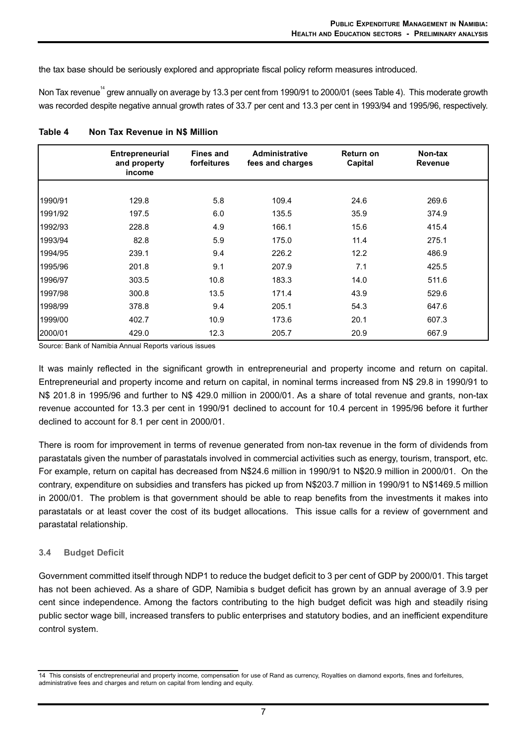the tax base should be seriously explored and appropriate fiscal policy reform measures introduced.

Non Tax revenue<sup>14</sup> grew annually on average by 13.3 per cent from 1990/91 to 2000/01 (sees Table 4). This moderate growth was recorded despite negative annual growth rates of 33.7 per cent and 13.3 per cent in 1993/94 and 1995/96, respectively.

|         | <b>Entrepreneurial</b><br>and property<br>income | <b>Fines and</b><br>forfeitures | <b>Administrative</b><br>fees and charges | Return on<br>Capital | Non-tax<br><b>Revenue</b> |
|---------|--------------------------------------------------|---------------------------------|-------------------------------------------|----------------------|---------------------------|
|         |                                                  |                                 |                                           |                      |                           |
| 1990/91 | 129.8                                            | 5.8                             | 109.4                                     | 24.6                 | 269.6                     |
| 1991/92 | 197.5                                            | 6.0                             | 135.5                                     | 35.9                 | 374.9                     |
| 1992/93 | 228.8                                            | 4.9                             | 166.1                                     | 15.6                 | 415.4                     |
| 1993/94 | 82.8                                             | 5.9                             | 175.0                                     | 11.4                 | 275.1                     |
| 1994/95 | 239.1                                            | 9.4                             | 226.2                                     | 12.2                 | 486.9                     |
| 1995/96 | 201.8                                            | 9.1                             | 207.9                                     | 7.1                  | 425.5                     |
| 1996/97 | 303.5                                            | 10.8                            | 183.3                                     | 14.0                 | 511.6                     |
| 1997/98 | 300.8                                            | 13.5                            | 171.4                                     | 43.9                 | 529.6                     |
| 1998/99 | 378.8                                            | 9.4                             | 205.1                                     | 54.3                 | 647.6                     |
| 1999/00 | 402.7                                            | 10.9                            | 173.6                                     | 20.1                 | 607.3                     |
| 2000/01 | 429.0                                            | 12.3                            | 205.7                                     | 20.9                 | 667.9                     |

| Table 4 |  | Non Tax Revenue in N\$ Million |
|---------|--|--------------------------------|
|         |  |                                |

Source: Bank of Namibia Annual Reports various issues

It was mainly reflected in the significant growth in entrepreneurial and property income and return on capital. Entrepreneurial and property income and return on capital, in nominal terms increased from N\$ 29.8 in 1990/91 to N\$ 201.8 in 1995/96 and further to N\$ 429.0 million in 2000/01. As a share of total revenue and grants, non-tax revenue accounted for 13.3 per cent in 1990/91 declined to account for 10.4 percent in 1995/96 before it further declined to account for 8.1 per cent in 2000/01.

There is room for improvement in terms of revenue generated from non-tax revenue in the form of dividends from parastatals given the number of parastatals involved in commercial activities such as energy, tourism, transport, etc. For example, return on capital has decreased from N\$24.6 million in 1990/91 to N\$20.9 million in 2000/01. On the contrary, expenditure on subsidies and transfers has picked up from N\$203.7 million in 1990/91 to N\$1469.5 million in 2000/01. The problem is that government should be able to reap benefits from the investments it makes into parastatals or at least cover the cost of its budget allocations. This issue calls for a review of government and parastatal relationship.

#### **3.4 Budget Deficit**

Government committed itself through NDP1 to reduce the budget deficit to 3 per cent of GDP by 2000/01. This target has not been achieved. As a share of GDP, Namibia s budget deficit has grown by an annual average of 3.9 per cent since independence. Among the factors contributing to the high budget deficit was high and steadily rising public sector wage bill, increased transfers to public enterprises and statutory bodies, and an inefficient expenditure control system.

<sup>14</sup> This consists of enctrepreneurial and property income, compensation for use of Rand as currency, Royalties on diamond exports, fines and forfeitures, administrative fees and charges and return on capital from lending and equity.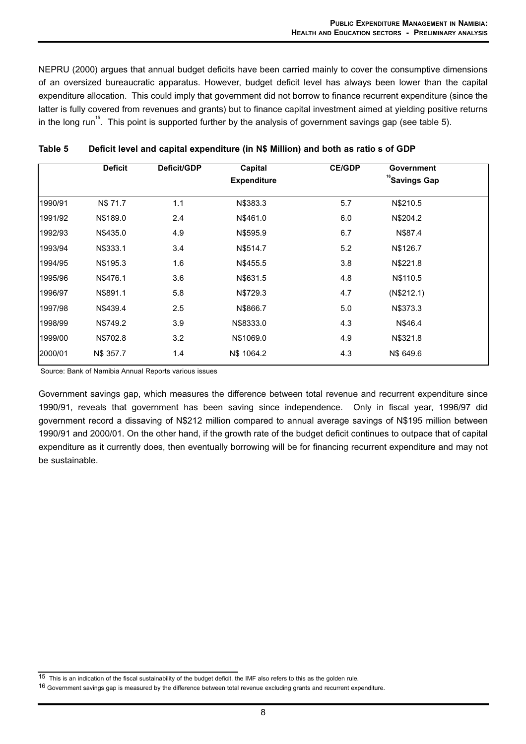NEPRU (2000) argues that annual budget deficits have been carried mainly to cover the consumptive dimensions of an oversized bureaucratic apparatus. However, budget deficit level has always been lower than the capital expenditure allocation. This could imply that government did not borrow to finance recurrent expenditure (since the latter is fully covered from revenues and grants) but to finance capital investment aimed at yielding positive returns in the long run<sup>15</sup>. This point is supported further by the analysis of government savings gap (see table 5).

|         | <b>Deficit</b> | Deficit/GDP | <b>Capital</b><br><b>Expenditure</b> | <b>CE/GDP</b> | Government<br><sup>16</sup> Savings Gap |  |
|---------|----------------|-------------|--------------------------------------|---------------|-----------------------------------------|--|
|         |                |             |                                      |               |                                         |  |
| 1990/91 | N\$ 71.7       | 1.1         | N\$383.3                             | 5.7           | N\$210.5                                |  |
| 1991/92 | N\$189.0       | 2.4         | N\$461.0                             | 6.0           | N\$204.2                                |  |
| 1992/93 | N\$435.0       | 4.9         | N\$595.9                             | 6.7           | N\$87.4                                 |  |
| 1993/94 | N\$333.1       | 3.4         | N\$514.7                             | 5.2           | N\$126.7                                |  |
| 1994/95 | N\$195.3       | 1.6         | N\$455.5                             | 3.8           | N\$221.8                                |  |
| 1995/96 | N\$476.1       | 3.6         | N\$631.5                             | 4.8           | N\$110.5                                |  |
| 1996/97 | N\$891.1       | 5.8         | N\$729.3                             | 4.7           | (N\$212.1)                              |  |
| 1997/98 | N\$439.4       | 2.5         | N\$866.7                             | 5.0           | N\$373.3                                |  |
| 1998/99 | N\$749.2       | 3.9         | N\$8333.0                            | 4.3           | N\$46.4                                 |  |
| 1999/00 | N\$702.8       | 3.2         | N\$1069.0                            | 4.9           | N\$321.8                                |  |
| 2000/01 | N\$ 357.7      | 1.4         | N\$ 1064.2                           | 4.3           | N\$ 649.6                               |  |

|  | Table 5 |  | Deficit level and capital expenditure (in N\$ Million) and both as ratio s of GDP |  |  |  |
|--|---------|--|-----------------------------------------------------------------------------------|--|--|--|
|--|---------|--|-----------------------------------------------------------------------------------|--|--|--|

Source: Bank of Namibia Annual Reports various issues

Government savings gap, which measures the difference between total revenue and recurrent expenditure since 1990/91, reveals that government has been saving since independence. Only in fiscal year, 1996/97 did government record a dissaving of N\$212 million compared to annual average savings of N\$195 million between 1990/91 and 2000/01. On the other hand, if the growth rate of the budget deficit continues to outpace that of capital expenditure as it currently does, then eventually borrowing will be for financing recurrent expenditure and may not be sustainable.

 $\overline{15}$  This is an indication of the fiscal sustainability of the budget deficit. the IMF also refers to this as the golden rule.

<sup>16</sup> Government savings gap is measured by the difference between total revenue excluding grants and recurrent expenditure.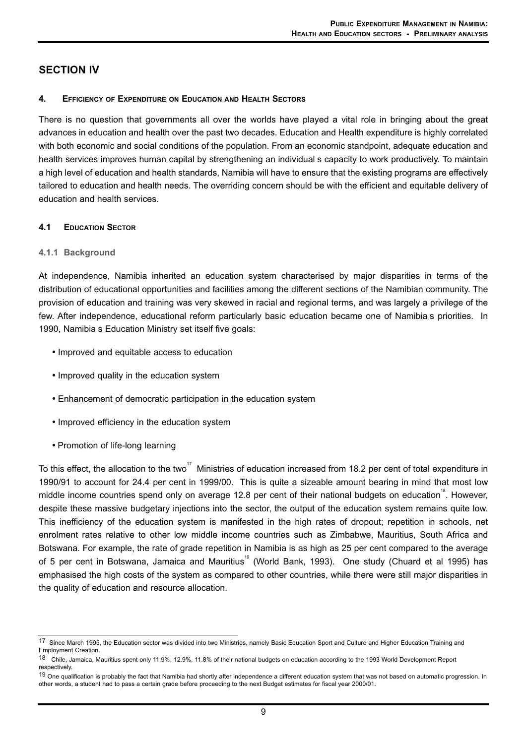# **SECTION IV**

#### **4. EFFICIENCY OF EXPENDITURE ON EDUCATION AND HEALTH SECTORS**

There is no question that governments all over the worlds have played a vital role in bringing about the great advances in education and health over the past two decades. Education and Health expenditure is highly correlated with both economic and social conditions of the population. From an economic standpoint, adequate education and health services improves human capital by strengthening an individual s capacity to work productively. To maintain a high level of education and health standards, Namibia will have to ensure that the existing programs are effectively tailored to education and health needs. The overriding concern should be with the efficient and equitable delivery of education and health services.

#### **4.1 EDUCATION SECTOR**

#### **4.1.1 Background**

At independence, Namibia inherited an education system characterised by major disparities in terms of the distribution of educational opportunities and facilities among the different sections of the Namibian community. The provision of education and training was very skewed in racial and regional terms, and was largely a privilege of the few. After independence, educational reform particularly basic education became one of Namibia s priorities. In 1990, Namibia s Education Ministry set itself five goals:

- Improved and equitable access to education
- Improved quality in the education system
- Enhancement of democratic participation in the education system
- Improved efficiency in the education system
- Promotion of life-long learning

To this effect, the allocation to the two<sup>17</sup> Ministries of education increased from 18.2 per cent of total expenditure in 1990/91 to account for 24.4 per cent in 1999/00. This is quite a sizeable amount bearing in mind that most low middle income countries spend only on average 12.8 per cent of their national budgets on education<sup>18</sup>. However, despite these massive budgetary injections into the sector, the output of the education system remains quite low. This inefficiency of the education system is manifested in the high rates of dropout; repetition in schools, net enrolment rates relative to other low middle income countries such as Zimbabwe, Mauritius, South Africa and Botswana. For example, the rate of grade repetition in Namibia is as high as 25 per cent compared to the average of 5 per cent in Botswana, Jamaica and Mauritius<sup>19</sup> (World Bank, 1993). One study (Chuard et al 1995) has emphasised the high costs of the system as compared to other countries, while there were still major disparities in the quality of education and resource allocation.

<sup>17</sup> Since March 1995, the Education sector was divided into two Ministries, namely Basic Education Sport and Culture and Higher Education Training and Employment Creation.

<sup>18</sup> Chile, Jamaica, Mauritius spent only 11.9%, 12.9%, 11.8% of their national budgets on education according to the 1993 World Development Report respectively.

<sup>&</sup>lt;sup>19</sup> One qualification is probably the fact that Namibia had shortly after independence a different education system that was not based on automatic progression. In other words, a student had to pass a certain grade before proceeding to the next Budget estimates for fiscal year 2000/01.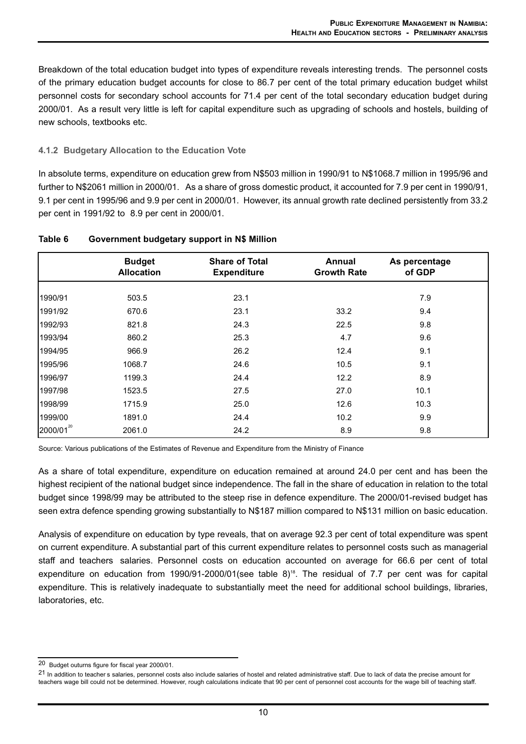Breakdown of the total education budget into types of expenditure reveals interesting trends. The personnel costs of the primary education budget accounts for close to 86.7 per cent of the total primary education budget whilst personnel costs for secondary school accounts for 71.4 per cent of the total secondary education budget during 2000/01. As a result very little is left for capital expenditure such as upgrading of schools and hostels, building of new schools, textbooks etc.

## **4.1.2 Budgetary Allocation to the Education Vote**

In absolute terms, expenditure on education grew from N\$503 million in 1990/91 to N\$1068.7 million in 1995/96 and further to N\$2061 million in 2000/01. As a share of gross domestic product, it accounted for 7.9 per cent in 1990/91, 9.1 per cent in 1995/96 and 9.9 per cent in 2000/01. However, its annual growth rate declined persistently from 33.2 per cent in 1991/92 to 8.9 per cent in 2000/01.

|           | <b>Budget</b><br><b>Allocation</b> | <b>Share of Total</b><br><b>Expenditure</b> | <b>Annual</b><br><b>Growth Rate</b> | As percentage<br>of GDP |
|-----------|------------------------------------|---------------------------------------------|-------------------------------------|-------------------------|
|           |                                    |                                             |                                     |                         |
| 1990/91   | 503.5                              | 23.1                                        |                                     | 7.9                     |
| 1991/92   | 670.6                              | 23.1                                        | 33.2                                | 9.4                     |
| 1992/93   | 821.8                              | 24.3                                        | 22.5                                | 9.8                     |
| 1993/94   | 860.2                              | 25.3                                        | 4.7                                 | 9.6                     |
| 1994/95   | 966.9                              | 26.2                                        | 12.4                                | 9.1                     |
| 1995/96   | 1068.7                             | 24.6                                        | 10.5                                | 9.1                     |
| 1996/97   | 1199.3                             | 24.4                                        | 12.2                                | 8.9                     |
| 1997/98   | 1523.5                             | 27.5                                        | 27.0                                | 10.1                    |
| 1998/99   | 1715.9                             | 25.0                                        | 12.6                                | 10.3                    |
| 1999/00   | 1891.0                             | 24.4                                        | 10.2                                | 9.9                     |
| 2000/0120 | 2061.0                             | 24.2                                        | 8.9                                 | 9.8                     |

#### **Table 6 Government budgetary support in N\$ Million**

Source: Various publications of the Estimates of Revenue and Expenditure from the Ministry of Finance

As a share of total expenditure, expenditure on education remained at around 24.0 per cent and has been the highest recipient of the national budget since independence. The fall in the share of education in relation to the total budget since 1998/99 may be attributed to the steep rise in defence expenditure. The 2000/01-revised budget has seen extra defence spending growing substantially to N\$187 million compared to N\$131 million on basic education.

Analysis of expenditure on education by type reveals, that on average 92.3 per cent of total expenditure was spent on current expenditure. A substantial part of this current expenditure relates to personnel costs such as managerial staff and teachers salaries. Personnel costs on education accounted on average for 66.6 per cent of total expenditure on education from 1990/91-2000/01(see table 8)<sup>18</sup>. The residual of 7.7 per cent was for capital expenditure. This is relatively inadequate to substantially meet the need for additional school buildings, libraries, laboratories, etc.

<sup>20</sup> Budget outurns figure for fiscal year 2000/01.

<sup>21</sup> In addition to teacher s salaries, personnel costs also include salaries of hostel and related administrative staff. Due to lack of data the precise amount for teachers wage bill could not be determined. However, rough calculations indicate that 90 per cent of personnel cost accounts for the wage bill of teaching staff.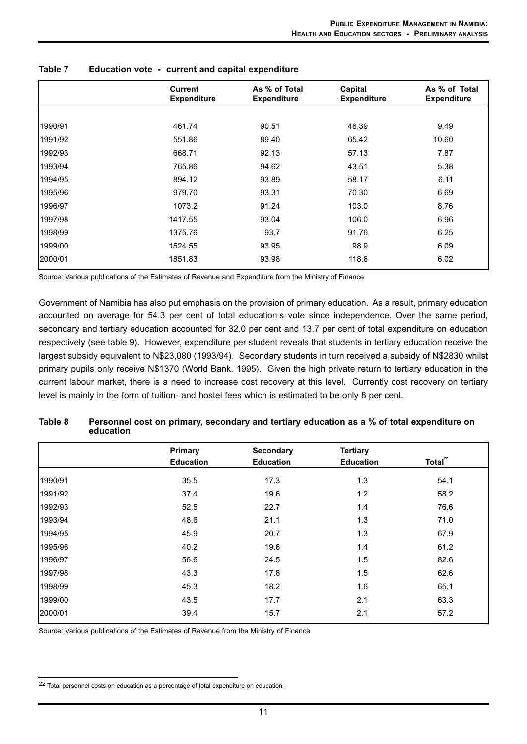|         | <b>Current</b><br><b>Expenditure</b> | As % of Total<br><b>Expenditure</b> | Capital<br><b>Expenditure</b> | As % of Total<br><b>Expenditure</b> |
|---------|--------------------------------------|-------------------------------------|-------------------------------|-------------------------------------|
|         |                                      |                                     |                               |                                     |
| 1990/91 | 461.74                               | 90.51                               | 48.39                         | 9.49                                |
| 1991/92 | 551.86                               | 89.40                               | 65.42                         | 10.60                               |
| 1992/93 | 668.71                               | 92.13                               | 57.13                         | 7.87                                |
| 1993/94 | 765.86                               | 94.62                               | 43.51                         | 5.38                                |
| 1994/95 | 894.12                               | 93.89                               | 58.17                         | 6.11                                |
| 1995/96 | 979.70                               | 93.31                               | 70.30                         | 6.69                                |
| 1996/97 | 1073.2                               | 91.24                               | 103.0                         | 8.76                                |
| 1997/98 | 1417.55                              | 93.04                               | 106.0                         | 6.96                                |
| 1998/99 | 1375.76                              | 93.7                                | 91.76                         | 6.25                                |
| 1999/00 | 1524.55                              | 93.95                               | 98.9                          | 6.09                                |
| 2000/01 | 1851.83                              | 93.98                               | 118.6                         | 6.02                                |

| Table 7 | Education vote - current and capital expenditure |  |  |
|---------|--------------------------------------------------|--|--|
|         |                                                  |  |  |

Source: Various publications of the Estimates of Revenue and Expenditure from the Ministry of Finance

Government of Namibia has also put emphasis on the provision of primary education. As a result, primary education accounted on average for 54.3 per cent of total education s vote since independence. Over the same period, secondary and tertiary education accounted for 32.0 per cent and 13.7 per cent of total expenditure on education respectively (see table 9). However, expenditure per student reveals that students in tertiary education receive the largest subsidy equivalent to N\$23,080 (1993/94). Secondary students in turn received a subsidy of N\$2830 whilst primary pupils only receive N\$1370 (World Bank, 1995). Given the high private return to tertiary education in the current labour market, there is a need to increase cost recovery at this level. Currently cost recovery on tertiary level is mainly in the form of tuition- and hostel fees which is estimated to be only 8 per cent.

|         | <b>Primary</b><br><b>Education</b> | <b>Secondary</b><br><b>Education</b> | <b>Tertiary</b><br><b>Education</b> | Total $^{22}$ |
|---------|------------------------------------|--------------------------------------|-------------------------------------|---------------|
|         |                                    |                                      |                                     |               |
| 1990/91 | 35.5                               | 17.3                                 | 1.3                                 | 54.1          |
| 1991/92 | 37.4                               | 19.6                                 | 1.2                                 | 58.2          |
| 1992/93 | 52.5                               | 22.7                                 | 1.4                                 | 76.6          |
| 1993/94 | 48.6                               | 21.1                                 | 1.3                                 | 71.0          |
| 1994/95 | 45.9                               | 20.7                                 | 1.3                                 | 67.9          |
| 1995/96 | 40.2                               | 19.6                                 | 1.4                                 | 61.2          |
| 1996/97 | 56.6                               | 24.5                                 | 1.5                                 | 82.6          |
| 1997/98 | 43.3                               | 17.8                                 | 1.5                                 | 62.6          |
| 1998/99 | 45.3                               | 18.2                                 | 1.6                                 | 65.1          |
| 1999/00 | 43.5                               | 17.7                                 | 2.1                                 | 63.3          |
| 2000/01 | 39.4                               | 15.7                                 | 2.1                                 | 57.2          |

| Table 8 | Personnel cost on primary, secondary and tertiary education as a % of total expenditure on |
|---------|--------------------------------------------------------------------------------------------|
|         | education                                                                                  |

Source: Various publications of the Estimates of Revenue from the Ministry of Finance

<sup>22</sup> Total personnel costs on education as a percentage of total expenditure on education.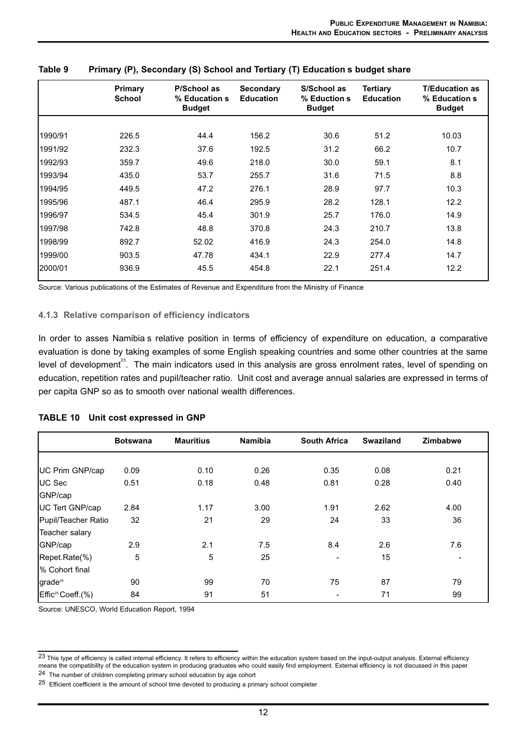|         | Primary<br><b>School</b> | P/School as<br>% Education s<br><b>Budget</b> | <b>Secondary</b><br><b>Education</b> | S/School as<br>% Eduction s<br><b>Budget</b> | <b>Tertiary</b><br><b>Education</b> | <b>T/Education as</b><br>% Education s<br><b>Budget</b> |
|---------|--------------------------|-----------------------------------------------|--------------------------------------|----------------------------------------------|-------------------------------------|---------------------------------------------------------|
|         |                          |                                               |                                      |                                              |                                     |                                                         |
| 1990/91 | 226.5                    | 44.4                                          | 156.2                                | 30.6                                         | 51.2                                | 10.03                                                   |
| 1991/92 | 232.3                    | 37.6                                          | 192.5                                | 31.2                                         | 66.2                                | 10.7                                                    |
| 1992/93 | 359.7                    | 49.6                                          | 218.0                                | 30.0                                         | 59.1                                | 8.1                                                     |
| 1993/94 | 435.0                    | 53.7                                          | 255.7                                | 31.6                                         | 71.5                                | 8.8                                                     |
| 1994/95 | 449.5                    | 47.2                                          | 276.1                                | 28.9                                         | 97.7                                | 10.3                                                    |
| 1995/96 | 487.1                    | 46.4                                          | 295.9                                | 28.2                                         | 128.1                               | 12.2                                                    |
| 1996/97 | 534.5                    | 45.4                                          | 301.9                                | 25.7                                         | 176.0                               | 14.9                                                    |
| 1997/98 | 742.8                    | 48.8                                          | 370.8                                | 24.3                                         | 210.7                               | 13.8                                                    |
| 1998/99 | 892.7                    | 52.02                                         | 416.9                                | 24.3                                         | 254.0                               | 14.8                                                    |
| 1999/00 | 903.5                    | 47.78                                         | 434.1                                | 22.9                                         | 277.4                               | 14.7                                                    |
| 2000/01 | 936.9                    | 45.5                                          | 454.8                                | 22.1                                         | 251.4                               | 12.2                                                    |

#### **Table 9 Primary (P), Secondary (S) School and Tertiary (T) Education s budget share**

Source: Various publications of the Estimates of Revenue and Expenditure from the Ministry of Finance

#### **4.1.3 Relative comparison of efficiency indicators**

In order to asses Namibia s relative position in terms of efficiency of expenditure on education, a comparative evaluation is done by taking examples of some English speaking countries and some other countries at the same level of development<sup>23</sup>. The main indicators used in this analysis are gross enrolment rates, level of spending on education, repetition rates and pupil/teacher ratio. Unit cost and average annual salaries are expressed in terms of per capita GNP so as to smooth over national wealth differences.

|                               | <b>Botswana</b> | <b>Mauritius</b> | <b>Namibia</b> | <b>South Africa</b> | <b>Swaziland</b> | <b>Zimbabwe</b> |
|-------------------------------|-----------------|------------------|----------------|---------------------|------------------|-----------------|
|                               |                 |                  |                |                     |                  |                 |
| UC Prim GNP/cap               | 0.09            | 0.10             | 0.26           | 0.35                | 0.08             | 0.21            |
| UC Sec                        | 0.51            | 0.18             | 0.48           | 0.81                | 0.28             | 0.40            |
| GNP/cap                       |                 |                  |                |                     |                  |                 |
| UC Tert GNP/cap               | 2.84            | 1.17             | 3.00           | 1.91                | 2.62             | 4.00            |
| Pupil/Teacher Ratio           | 32              | 21               | 29             | 24                  | 33               | 36              |
| Teacher salary                |                 |                  |                |                     |                  |                 |
| GNP/cap                       | 2.9             | 2.1              | 7.5            | 8.4                 | 2.6              | 7.6             |
| Repet.Rate(%)                 | 5               | 5                | 25             |                     | 15               |                 |
| % Cohort final                |                 |                  |                |                     |                  |                 |
| grade <sup>24</sup>           | 90              | 99               | 70             | 75                  | 87               | 79              |
| Effic <sup>25</sup> Coeff.(%) | 84              | 91               | 51             |                     | 71               | 99              |

#### **TABLE 10 Unit cost expressed in GNP**

Source: UNESCO, World Education Report, 1994

24 The number of children completing primary school education by age cohort

<sup>&</sup>lt;sup>23</sup> This type of efficiency is called internal efficiency. It refers to efficiency within the education system based on the input-output analysis. External efficiency means the compatibility of the education system in producing graduates who could easily find employment. External efficiency is not discussed in this paper.

<sup>25</sup> Efficient coefficient is the amount of school time devoted to producing a primary school completer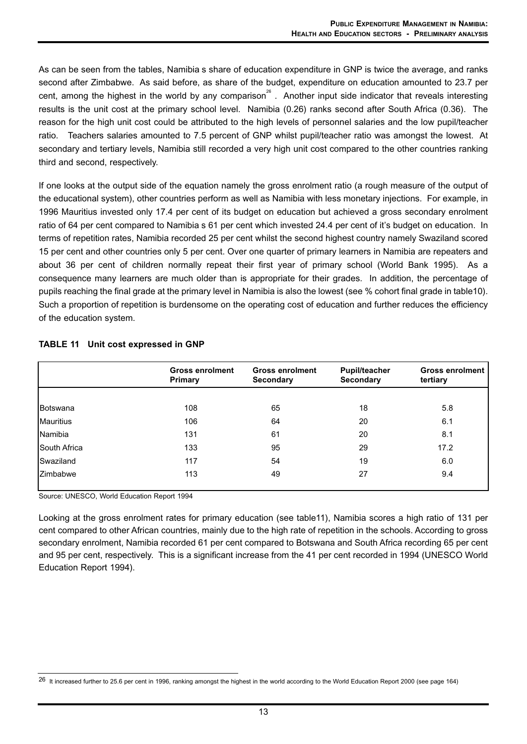As can be seen from the tables, Namibia s share of education expenditure in GNP is twice the average, and ranks second after Zimbabwe. As said before, as share of the budget, expenditure on education amounted to 23.7 per cent, among the highest in the world by any comparison<sup>26</sup>. Another input side indicator that reveals interesting results is the unit cost at the primary school level. Namibia (0.26) ranks second after South Africa (0.36). The reason for the high unit cost could be attributed to the high levels of personnel salaries and the low pupil/teacher ratio. Teachers salaries amounted to 7.5 percent of GNP whilst pupil/teacher ratio was amongst the lowest. At secondary and tertiary levels, Namibia still recorded a very high unit cost compared to the other countries ranking third and second, respectively.

If one looks at the output side of the equation namely the gross enrolment ratio (a rough measure of the output of the educational system), other countries perform as well as Namibia with less monetary injections. For example, in 1996 Mauritius invested only 17.4 per cent of its budget on education but achieved a gross secondary enrolment ratio of 64 per cent compared to Namibia s 61 per cent which invested 24.4 per cent of it's budget on education. In terms of repetition rates, Namibia recorded 25 per cent whilst the second highest country namely Swaziland scored 15 per cent and other countries only 5 per cent. Over one quarter of primary learners in Namibia are repeaters and about 36 per cent of children normally repeat their first year of primary school (World Bank 1995). As a consequence many learners are much older than is appropriate for their grades. In addition, the percentage of pupils reaching the final grade at the primary level in Namibia is also the lowest (see % cohort final grade in table10). Such a proportion of repetition is burdensome on the operating cost of education and further reduces the efficiency of the education system.

|                     | <b>Gross enrolment</b><br><b>Primary</b> | <b>Gross enrolment</b><br><b>Secondary</b> | <b>Gross enrolment</b><br>tertiary |      |
|---------------------|------------------------------------------|--------------------------------------------|------------------------------------|------|
|                     |                                          |                                            |                                    |      |
| Botswana            | 108                                      | 65                                         | 18                                 | 5.8  |
| Mauritius           | 106                                      | 64                                         | 20                                 | 6.1  |
| Namibia             | 131                                      | 61                                         | 20                                 | 8.1  |
| <b>South Africa</b> | 133                                      | 95                                         | 29                                 | 17.2 |
| Swaziland           | 117                                      | 54                                         | 19                                 | 6.0  |
| <b>Zimbabwe</b>     | 113                                      | 49                                         | 27                                 | 9.4  |
|                     |                                          |                                            |                                    |      |

## **TABLE 11 Unit cost expressed in GNP**

Source: UNESCO, World Education Report 1994

Looking at the gross enrolment rates for primary education (see table11), Namibia scores a high ratio of 131 per cent compared to other African countries, mainly due to the high rate of repetition in the schools. According to gross secondary enrolment, Namibia recorded 61 per cent compared to Botswana and South Africa recording 65 per cent and 95 per cent, respectively. This is a significant increase from the 41 per cent recorded in 1994 (UNESCO World Education Report 1994).

<sup>26</sup> It increased further to 25.6 per cent in 1996, ranking amongst the highest in the world according to the World Education Report 2000 (see page 164)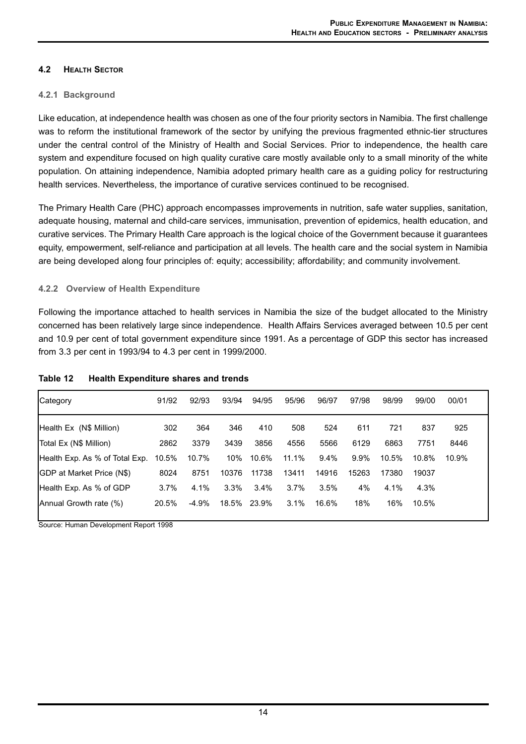# **4.2 HEALTH SECTOR**

## **4.2.1 Background**

Like education, at independence health was chosen as one of the four priority sectors in Namibia. The first challenge was to reform the institutional framework of the sector by unifying the previous fragmented ethnic-tier structures under the central control of the Ministry of Health and Social Services. Prior to independence, the health care system and expenditure focused on high quality curative care mostly available only to a small minority of the white population. On attaining independence, Namibia adopted primary health care as a guiding policy for restructuring health services. Nevertheless, the importance of curative services continued to be recognised.

The Primary Health Care (PHC) approach encompasses improvements in nutrition, safe water supplies, sanitation, adequate housing, maternal and child-care services, immunisation, prevention of epidemics, health education, and curative services. The Primary Health Care approach is the logical choice of the Government because it guarantees equity, empowerment, self-reliance and participation at all levels. The health care and the social system in Namibia are being developed along four principles of: equity; accessibility; affordability; and community involvement.

## **4.2.2 Overview of Health Expenditure**

Following the importance attached to health services in Namibia the size of the budget allocated to the Ministry concerned has been relatively large since independence. Health Affairs Services averaged between 10.5 per cent and 10.9 per cent of total government expenditure since 1991. As a percentage of GDP this sector has increased from 3.3 per cent in 1993/94 to 4.3 per cent in 1999/2000.

| Category                         | 91/92 | 92/93   | 93/94 | 94/95 | 95/96 | 96/97   | 97/98   | 98/99 | 99/00 | 00/01 |  |
|----------------------------------|-------|---------|-------|-------|-------|---------|---------|-------|-------|-------|--|
| Health Ex (N\$ Million)          | 302   | 364     | 346   | 410   | 508   | 524     | 611     | 721   | 837   | 925   |  |
| Total Ex (N\$ Million)           | 2862  | 3379    | 3439  | 3856  | 4556  | 5566    | 6129    | 6863  | 7751  | 8446  |  |
| Health Exp. As % of Total Exp.   | 10.5% | 10.7%   | 10%   | 10.6% | 11.1% | $9.4\%$ | $9.9\%$ | 10.5% | 10.8% | 10.9% |  |
| <b>GDP</b> at Market Price (N\$) | 8024  | 8751    | 10376 | 11738 | 13411 | 14916   | 15263   | 17380 | 19037 |       |  |
| Health Exp. As % of GDP          | 3.7%  | 4.1%    | 3.3%  | 3.4%  | 3.7%  | 3.5%    | 4%      | 4.1%  | 4.3%  |       |  |
| Annual Growth rate (%)           | 20.5% | $-4.9%$ | 18.5% | 23.9% | 3.1%  | 16.6%   | 18%     | 16%   | 10.5% |       |  |

## **Table 12 Health Expenditure shares and trends**

Source: Human Development Report 1998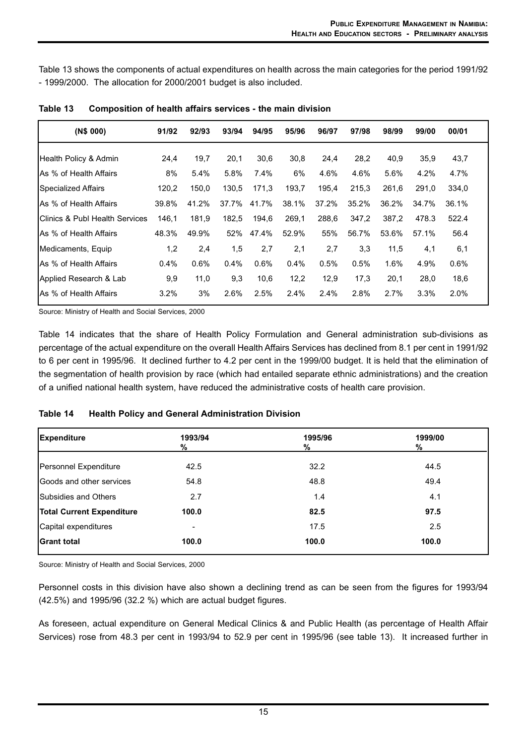Table 13 shows the components of actual expenditures on health across the main categories for the period 1991/92 - 1999/2000. The allocation for 2000/2001 budget is also included.

| (N\$ 000)                                  | 91/92 | 92/93 | 93/94 | 94/95 | 95/96 | 96/97 | 97/98 | 98/99 | 99/00 | 00/01 |  |
|--------------------------------------------|-------|-------|-------|-------|-------|-------|-------|-------|-------|-------|--|
| Health Policy & Admin                      | 24,4  | 19,7  | 20,1  | 30,6  | 30,8  | 24,4  | 28,2  | 40,9  | 35.9  | 43,7  |  |
| IAs % of Health Affairs                    | 8%    | 5.4%  | 5.8%  | 7.4%  | 6%    | 4.6%  | 4.6%  | 5.6%  | 4.2%  | 4.7%  |  |
| Specialized Affairs                        | 120,2 | 150,0 | 130,5 | 171,3 | 193,7 | 195.4 | 215,3 | 261.6 | 291.0 | 334,0 |  |
| IAs % of Health Affairs                    | 39.8% | 41.2% | 37.7% | 41.7% | 38.1% | 37.2% | 35.2% | 36.2% | 34.7% | 36.1% |  |
| <b>IClinics &amp; Publ Health Services</b> | 146,1 | 181,9 | 182,5 | 194,6 | 269,1 | 288,6 | 347,2 | 387.2 | 478.3 | 522.4 |  |
| IAs % of Health Affairs                    | 48.3% | 49.9% | 52%   | 47.4% | 52.9% | 55%   | 56.7% | 53.6% | 57.1% | 56.4  |  |
| Medicaments, Equip                         | 1,2   | 2,4   | 1,5   | 2,7   | 2,1   | 2,7   | 3,3   | 11,5  | 4,1   | 6,1   |  |
| IAs % of Health Affairs                    | 0.4%  | 0.6%  | 0.4%  | 0.6%  | 0.4%  | 0.5%  | 0.5%  | 1.6%  | 4.9%  | 0.6%  |  |
| Applied Research & Lab                     | 9,9   | 11,0  | 9,3   | 10,6  | 12,2  | 12,9  | 17,3  | 20,1  | 28,0  | 18,6  |  |
| IAs % of Health Affairs                    | 3.2%  | 3%    | 2.6%  | 2.5%  | 2.4%  | 2.4%  | 2.8%  | 2.7%  | 3.3%  | 2.0%  |  |

**Table 13 Composition of health affairs services - the main division**

Source: Ministry of Health and Social Services, 2000

Table 14 indicates that the share of Health Policy Formulation and General administration sub-divisions as percentage of the actual expenditure on the overall Health Affairs Services has declined from 8.1 per cent in 1991/92 to 6 per cent in 1995/96. It declined further to 4.2 per cent in the 1999/00 budget. It is held that the elimination of the segmentation of health provision by race (which had entailed separate ethnic administrations) and the creation of a unified national health system, have reduced the administrative costs of health care provision.

| Table 14 |  |                                                          |  |
|----------|--|----------------------------------------------------------|--|
|          |  | <b>Health Policy and General Administration Division</b> |  |

| <b>Expenditure</b>               | 1993/94<br>$\frac{9}{6}$ | 1995/96<br>% | 1999/00<br>% |
|----------------------------------|--------------------------|--------------|--------------|
| Personnel Expenditure            | 42.5                     | 32.2         | 44.5         |
| Goods and other services<br>54.8 |                          | 48.8         | 49.4         |
| Subsidies and Others             | 2.7                      | 1.4          | 4.1          |
| <b>Total Current Expenditure</b> | 100.0                    | 82.5         | 97.5         |
| Capital expenditures             |                          | 17.5         | 2.5          |
| <b>Grant total</b>               | 100.0                    | 100.0        | 100.0        |

Source: Ministry of Health and Social Services, 2000

Personnel costs in this division have also shown a declining trend as can be seen from the figures for 1993/94 (42.5%) and 1995/96 (32.2 %) which are actual budget figures.

As foreseen, actual expenditure on General Medical Clinics & and Public Health (as percentage of Health Affair Services) rose from 48.3 per cent in 1993/94 to 52.9 per cent in 1995/96 (see table 13). It increased further in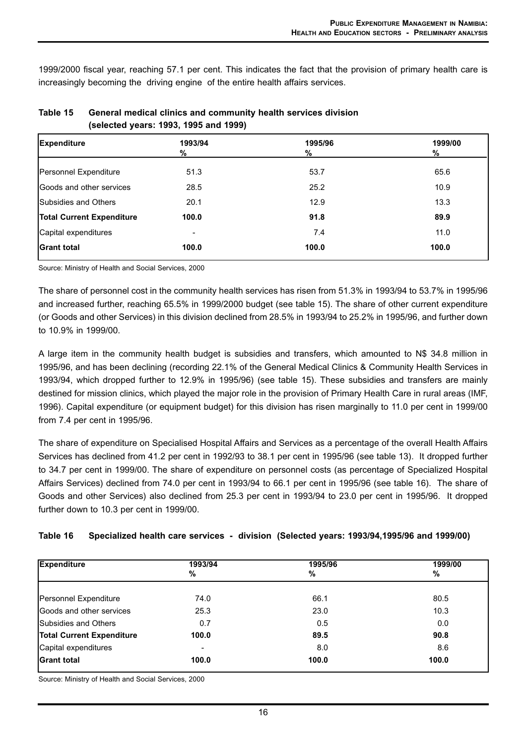1999/2000 fiscal year, reaching 57.1 per cent. This indicates the fact that the provision of primary health care is increasingly becoming the driving engine of the entire health affairs services.

| <b>Expenditure</b>               | 1993/94 | 1995/96 | 1999/00 |
|----------------------------------|---------|---------|---------|
|                                  | %       | %       | %       |
| Personnel Expenditure            | 51.3    | 53.7    | 65.6    |
| Goods and other services         | 28.5    | 25.2    | 10.9    |
| <b>Subsidies and Others</b>      | 20.1    | 12.9    | 13.3    |
| <b>Total Current Expenditure</b> | 100.0   | 91.8    | 89.9    |
| Capital expenditures             |         | 7.4     | 11.0    |
| <b>Grant total</b>               | 100.0   | 100.0   | 100.0   |

| Table 15 | General medical clinics and community health services division |
|----------|----------------------------------------------------------------|
|          | (selected years: 1993, 1995 and 1999)                          |

Source: Ministry of Health and Social Services, 2000

The share of personnel cost in the community health services has risen from 51.3% in 1993/94 to 53.7% in 1995/96 and increased further, reaching 65.5% in 1999/2000 budget (see table 15). The share of other current expenditure (or Goods and other Services) in this division declined from 28.5% in 1993/94 to 25.2% in 1995/96, and further down to 10.9% in 1999/00.

A large item in the community health budget is subsidies and transfers, which amounted to N\$ 34.8 million in 1995/96, and has been declining (recording 22.1% of the General Medical Clinics & Community Health Services in 1993/94, which dropped further to 12.9% in 1995/96) (see table 15). These subsidies and transfers are mainly destined for mission clinics, which played the major role in the provision of Primary Health Care in rural areas (IMF, 1996). Capital expenditure (or equipment budget) for this division has risen marginally to 11.0 per cent in 1999/00 from 7.4 per cent in 1995/96.

The share of expenditure on Specialised Hospital Affairs and Services as a percentage of the overall Health Affairs Services has declined from 41.2 per cent in 1992/93 to 38.1 per cent in 1995/96 (see table 13). It dropped further to 34.7 per cent in 1999/00. The share of expenditure on personnel costs (as percentage of Specialized Hospital Affairs Services) declined from 74.0 per cent in 1993/94 to 66.1 per cent in 1995/96 (see table 16). The share of Goods and other Services) also declined from 25.3 per cent in 1993/94 to 23.0 per cent in 1995/96. It dropped further down to 10.3 per cent in 1999/00.

|  | Table 16 Specialized health care services - division (Selected years: 1993/94,1995/96 and 1999/00) |  |  |  |  |  |  |
|--|----------------------------------------------------------------------------------------------------|--|--|--|--|--|--|
|--|----------------------------------------------------------------------------------------------------|--|--|--|--|--|--|

| <b>Expenditure</b>               | 1993/94        | 1995/96 | 1999/00 |  |
|----------------------------------|----------------|---------|---------|--|
|                                  | %              | %       | %       |  |
|                                  |                |         |         |  |
| Personnel Expenditure            | 74.0           | 66.1    | 80.5    |  |
| <b>Goods and other services</b>  | 25.3           | 23.0    | 10.3    |  |
| Subsidies and Others             | 0.7            | 0.5     | 0.0     |  |
| <b>Total Current Expenditure</b> | 100.0          | 89.5    | 90.8    |  |
| Capital expenditures             | $\blacksquare$ | 8.0     | 8.6     |  |
| <b>Grant total</b>               | 100.0          | 100.0   | 100.0   |  |

Source: Ministry of Health and Social Services, 2000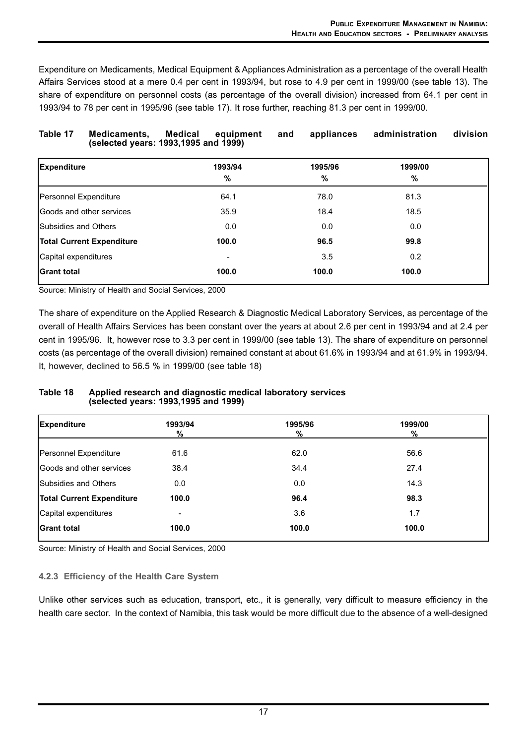Expenditure on Medicaments, Medical Equipment & Appliances Administration as a percentage of the overall Health Affairs Services stood at a mere 0.4 per cent in 1993/94, but rose to 4.9 per cent in 1999/00 (see table 13). The share of expenditure on personnel costs (as percentage of the overall division) increased from 64.1 per cent in 1993/94 to 78 per cent in 1995/96 (see table 17). It rose further, reaching 81.3 per cent in 1999/00.

| Table 17                    | Medicaments,<br>(selected years: 1993,1995 and 1999) | Medical<br>equipment     | appliances<br>and | administration | division |
|-----------------------------|------------------------------------------------------|--------------------------|-------------------|----------------|----------|
| <b>Expenditure</b>          |                                                      | 1993/94<br>%             | 1995/96<br>%      | 1999/00<br>%   |          |
| Personnel Expenditure       |                                                      | 64.1                     | 78.0              | 81.3           |          |
|                             | <b>IGoods and other services</b>                     | 35.9                     | 18.4              | 18.5           |          |
| <b>Subsidies and Others</b> |                                                      | 0.0                      | 0.0               | 0.0            |          |
|                             | <b>Total Current Expenditure</b>                     | 100.0                    | 96.5              | 99.8           |          |
| Capital expenditures        |                                                      | $\overline{\phantom{0}}$ | 3.5               | 0.2            |          |
| <b>IGrant total</b>         |                                                      | 100.0                    | 100.0             | 100.0          |          |

Source: Ministry of Health and Social Services, 2000

The share of expenditure on the Applied Research & Diagnostic Medical Laboratory Services, as percentage of the overall of Health Affairs Services has been constant over the years at about 2.6 per cent in 1993/94 and at 2.4 per cent in 1995/96. It, however rose to 3.3 per cent in 1999/00 (see table 13). The share of expenditure on personnel costs (as percentage of the overall division) remained constant at about 61.6% in 1993/94 and at 61.9% in 1993/94. It, however, declined to 56.5 % in 1999/00 (see table 18)

#### **Table 18 Applied research and diagnostic medical laboratory services (selected years: 1993,1995 and 1999)**

| 1993/94<br>$\frac{9}{6}$ | 1995/96<br>$\frac{9}{6}$ | 1999/00<br>% |
|--------------------------|--------------------------|--------------|
| 61.6                     | 62.0                     | 56.6         |
| 38.4                     | 34.4                     | 27.4         |
| 0.0                      | 0.0                      | 14.3         |
| 100.0                    | 96.4                     | 98.3         |
|                          | 3.6                      | 1.7          |
| 100.0                    | 100.0                    | 100.0        |
|                          |                          |              |

Source: Ministry of Health and Social Services, 2000

## **4.2.3 Efficiency of the Health Care System**

Unlike other services such as education, transport, etc., it is generally, very difficult to measure efficiency in the health care sector. In the context of Namibia, this task would be more difficult due to the absence of a well-designed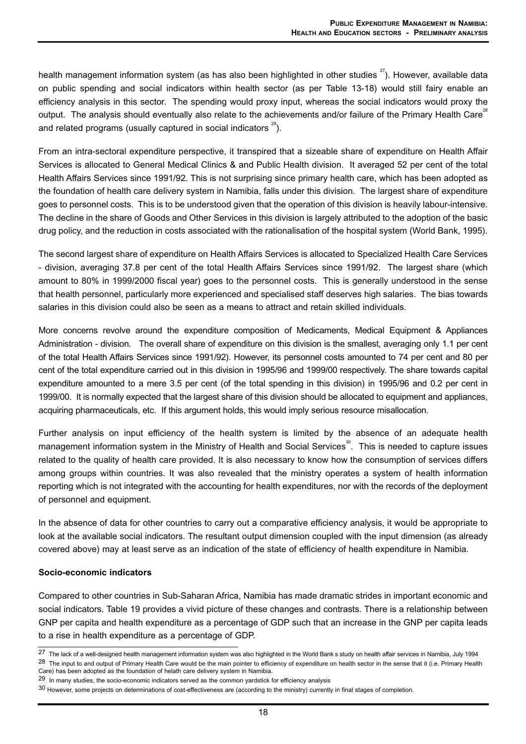health management information system (as has also been highlighted in other studies  $27$ ). However, available data on public spending and social indicators within health sector (as per Table 13-18) would still fairy enable an efficiency analysis in this sector. The spending would proxy input, whereas the social indicators would proxy the output. The analysis should eventually also relate to the achievements and/or failure of the Primary Health Care<sup>38</sup> and related programs (usually captured in social indicators  $29$ ).

From an intra-sectoral expenditure perspective, it transpired that a sizeable share of expenditure on Health Affair Services is allocated to General Medical Clinics & and Public Health division. It averaged 52 per cent of the total Health Affairs Services since 1991/92. This is not surprising since primary health care, which has been adopted as the foundation of health care delivery system in Namibia, falls under this division. The largest share of expenditure goes to personnel costs. This is to be understood given that the operation of this division is heavily labour-intensive. The decline in the share of Goods and Other Services in this division is largely attributed to the adoption of the basic drug policy, and the reduction in costs associated with the rationalisation of the hospital system (World Bank, 1995).

The second largest share of expenditure on Health Affairs Services is allocated to Specialized Health Care Services - division, averaging 37.8 per cent of the total Health Affairs Services since 1991/92. The largest share (which amount to 80% in 1999/2000 fiscal year) goes to the personnel costs. This is generally understood in the sense that health personnel, particularly more experienced and specialised staff deserves high salaries. The bias towards salaries in this division could also be seen as a means to attract and retain skilled individuals.

More concerns revolve around the expenditure composition of Medicaments, Medical Equipment & Appliances Administration - division. The overall share of expenditure on this division is the smallest, averaging only 1.1 per cent of the total Health Affairs Services since 1991/92). However, its personnel costs amounted to 74 per cent and 80 per cent of the total expenditure carried out in this division in 1995/96 and 1999/00 respectively. The share towards capital expenditure amounted to a mere 3.5 per cent (of the total spending in this division) in 1995/96 and 0.2 per cent in 1999/00. It is normally expected that the largest share of this division should be allocated to equipment and appliances, acquiring pharmaceuticals, etc. If this argument holds, this would imply serious resource misallocation.

Further analysis on input efficiency of the health system is limited by the absence of an adequate health management information system in the Ministry of Health and Social Services<sup>30</sup>. This is needed to capture issues related to the quality of health care provided. It is also necessary to know how the consumption of services differs among groups within countries. It was also revealed that the ministry operates a system of health information reporting which is not integrated with the accounting for health expenditures, nor with the records of the deployment of personnel and equipment.

In the absence of data for other countries to carry out a comparative efficiency analysis, it would be appropriate to look at the available social indicators. The resultant output dimension coupled with the input dimension (as already covered above) may at least serve as an indication of the state of efficiency of health expenditure in Namibia.

#### **Socio-economic indicators**

Compared to other countries in Sub-Saharan Africa, Namibia has made dramatic strides in important economic and social indicators. Table 19 provides a vivid picture of these changes and contrasts. There is a relationship between GNP per capita and health expenditure as a percentage of GDP such that an increase in the GNP per capita leads to a rise in health expenditure as a percentage of GDP.

<sup>27</sup> The lack of a well-designed health management information system was also highlighted in the World Bank s study on health affair services in Namibia, July 1994 <sup>28</sup> The input to and output of Primary Health Care would be the main pointer to efficiency of expenditure on health sector in the sense that it (i.e. Primary Health

Care) has been adopted as the foundation of helath care delivery system in Namibia.

<sup>29</sup> In many studies, the socio-economic indicators served as the common yardstick for efficiency analysis

<sup>30</sup> However, some projects on determinations of cost-effectiveness are (according to the ministry) currently in final stages of completion.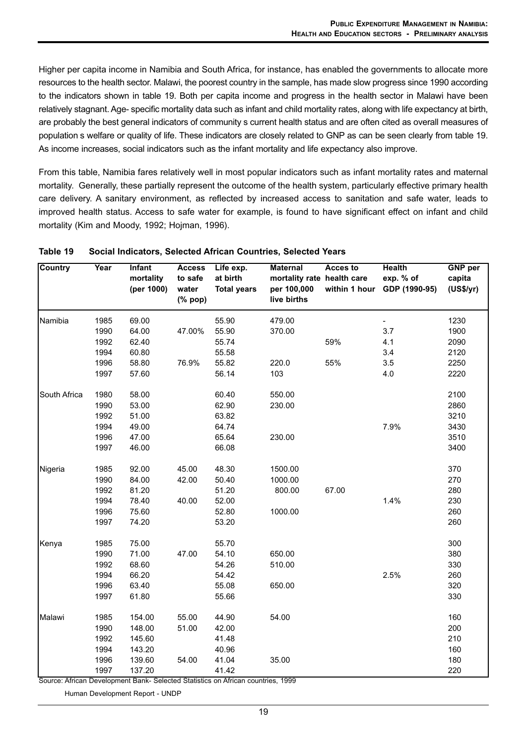Higher per capita income in Namibia and South Africa, for instance, has enabled the governments to allocate more resources to the health sector. Malawi, the poorest country in the sample, has made slow progress since 1990 according to the indicators shown in table 19. Both per capita income and progress in the health sector in Malawi have been relatively stagnant. Age- specific mortality data such as infant and child mortality rates, along with life expectancy at birth, are probably the best general indicators of community s current health status and are often cited as overall measures of population s welfare or quality of life. These indicators are closely related to GNP as can be seen clearly from table 19. As income increases, social indicators such as the infant mortality and life expectancy also improve.

From this table, Namibia fares relatively well in most popular indicators such as infant mortality rates and maternal mortality. Generally, these partially represent the outcome of the health system, particularly effective primary health care delivery. A sanitary environment, as reflected by increased access to sanitation and safe water, leads to improved health status. Access to safe water for example, is found to have significant effect on infant and child mortality (Kim and Moody, 1992; Hojman, 1996).

| <b>Country</b> | Year | <b>Infant</b><br>mortality<br>(per 1000) | <b>Access</b><br>to safe<br>water<br>$(% \mathbf{p}$ (% pop) | Life exp.<br>at birth<br><b>Total years</b> | <b>Maternal</b><br>mortality rate health care<br>per 100,000<br>live births | Acces to | <b>Health</b><br>exp. % of<br>within 1 hour GDP (1990-95) | <b>GNP</b> per<br>capita<br>(US\$/yr) |
|----------------|------|------------------------------------------|--------------------------------------------------------------|---------------------------------------------|-----------------------------------------------------------------------------|----------|-----------------------------------------------------------|---------------------------------------|
| Namibia        | 1985 | 69.00                                    |                                                              | 55.90                                       | 479.00                                                                      |          |                                                           | 1230                                  |
|                | 1990 | 64.00                                    | 47.00%                                                       | 55.90                                       | 370.00                                                                      |          | 3.7                                                       | 1900                                  |
|                | 1992 | 62.40                                    |                                                              | 55.74                                       |                                                                             | 59%      | 4.1                                                       | 2090                                  |
|                | 1994 | 60.80                                    |                                                              | 55.58                                       |                                                                             |          | 3.4                                                       | 2120                                  |
|                | 1996 | 58.80                                    | 76.9%                                                        | 55.82                                       | 220.0                                                                       | 55%      | 3.5                                                       | 2250                                  |
|                | 1997 | 57.60                                    |                                                              | 56.14                                       | 103                                                                         |          | 4.0                                                       | 2220                                  |
| South Africa   | 1980 | 58.00                                    |                                                              | 60.40                                       | 550.00                                                                      |          |                                                           | 2100                                  |
|                | 1990 | 53.00                                    |                                                              | 62.90                                       | 230.00                                                                      |          |                                                           | 2860                                  |
|                | 1992 | 51.00                                    |                                                              | 63.82                                       |                                                                             |          |                                                           | 3210                                  |
|                | 1994 | 49.00                                    |                                                              | 64.74                                       |                                                                             |          | 7.9%                                                      | 3430                                  |
|                | 1996 | 47.00                                    |                                                              | 65.64                                       | 230.00                                                                      |          |                                                           | 3510                                  |
|                | 1997 | 46.00                                    |                                                              | 66.08                                       |                                                                             |          |                                                           | 3400                                  |
| Nigeria        | 1985 | 92.00                                    | 45.00                                                        | 48.30                                       | 1500.00                                                                     |          |                                                           | 370                                   |
|                | 1990 | 84.00                                    | 42.00                                                        | 50.40                                       | 1000.00                                                                     |          |                                                           | 270                                   |
|                | 1992 | 81.20                                    |                                                              | 51.20                                       | 800.00                                                                      | 67.00    |                                                           | 280                                   |
|                | 1994 | 78.40                                    | 40.00                                                        | 52.00                                       |                                                                             |          | 1.4%                                                      | 230                                   |
|                | 1996 | 75.60                                    |                                                              | 52.80                                       | 1000.00                                                                     |          |                                                           | 260                                   |
|                | 1997 | 74.20                                    |                                                              | 53.20                                       |                                                                             |          |                                                           | 260                                   |
| Kenya          | 1985 | 75.00                                    |                                                              | 55.70                                       |                                                                             |          |                                                           | 300                                   |
|                | 1990 | 71.00                                    | 47.00                                                        | 54.10                                       | 650.00                                                                      |          |                                                           | 380                                   |
|                | 1992 | 68.60                                    |                                                              | 54.26                                       | 510.00                                                                      |          |                                                           | 330                                   |
|                | 1994 | 66.20                                    |                                                              | 54.42                                       |                                                                             |          | 2.5%                                                      | 260                                   |
|                | 1996 | 63.40                                    |                                                              | 55.08                                       | 650.00                                                                      |          |                                                           | 320                                   |
|                | 1997 | 61.80                                    |                                                              | 55.66                                       |                                                                             |          |                                                           | 330                                   |
| Malawi         | 1985 | 154.00                                   | 55.00                                                        | 44.90                                       | 54.00                                                                       |          |                                                           | 160                                   |
|                | 1990 | 148.00                                   | 51.00                                                        | 42.00                                       |                                                                             |          |                                                           | 200                                   |
|                | 1992 | 145.60                                   |                                                              | 41.48                                       |                                                                             |          |                                                           | 210                                   |
|                | 1994 | 143.20                                   |                                                              | 40.96                                       |                                                                             |          |                                                           | 160                                   |
|                | 1996 | 139.60                                   | 54.00                                                        | 41.04                                       | 35.00                                                                       |          |                                                           | 180                                   |
|                | 1997 | 137.20                                   |                                                              | 41.42                                       |                                                                             |          |                                                           | 220                                   |

#### **Table 19 Social Indicators, Selected African Countries, Selected Years**

Source: African Development Bank- Selected Statistics on African countries, 1999

Human Development Report - UNDP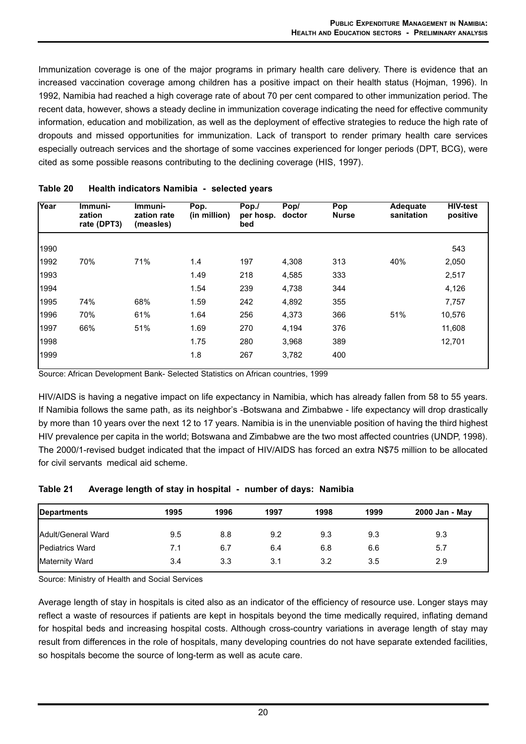Immunization coverage is one of the major programs in primary health care delivery. There is evidence that an increased vaccination coverage among children has a positive impact on their health status (Hojman, 1996). In 1992, Namibia had reached a high coverage rate of about 70 per cent compared to other immunization period. The recent data, however, shows a steady decline in immunization coverage indicating the need for effective community information, education and mobilization, as well as the deployment of effective strategies to reduce the high rate of dropouts and missed opportunities for immunization. Lack of transport to render primary health care services especially outreach services and the shortage of some vaccines experienced for longer periods (DPT, BCG), were cited as some possible reasons contributing to the declining coverage (HIS, 1997).

| Year | Immuni-<br>zation<br>rate (DPT3) | Immuni-<br>zation rate<br>(measles) | Pop.<br>(in million) | Pop./<br>per hosp.<br>bed | Pop/<br>doctor | Pop<br><b>Nurse</b> | Adequate<br>sanitation | <b>HIV-test</b><br>positive |
|------|----------------------------------|-------------------------------------|----------------------|---------------------------|----------------|---------------------|------------------------|-----------------------------|
| 1990 |                                  |                                     |                      |                           |                |                     |                        | 543                         |
| 1992 | 70%                              | 71%                                 | 1.4                  | 197                       | 4,308          | 313                 | 40%                    | 2,050                       |
| 1993 |                                  |                                     | 1.49                 | 218                       | 4,585          | 333                 |                        | 2,517                       |
| 1994 |                                  |                                     | 1.54                 | 239                       | 4,738          | 344                 |                        | 4,126                       |
| 1995 | 74%                              | 68%                                 | 1.59                 | 242                       | 4,892          | 355                 |                        | 7,757                       |
| 1996 | 70%                              | 61%                                 | 1.64                 | 256                       | 4,373          | 366                 | 51%                    | 10,576                      |
| 1997 | 66%                              | 51%                                 | 1.69                 | 270                       | 4,194          | 376                 |                        | 11,608                      |
| 1998 |                                  |                                     | 1.75                 | 280                       | 3,968          | 389                 |                        | 12,701                      |
| 1999 |                                  |                                     | 1.8                  | 267                       | 3,782          | 400                 |                        |                             |

#### **Table 20 Health indicators Namibia - selected years**

Source: African Development Bank- Selected Statistics on African countries, 1999

HIV/AIDS is having a negative impact on life expectancy in Namibia, which has already fallen from 58 to 55 years. If Namibia follows the same path, as its neighbor's -Botswana and Zimbabwe - life expectancy will drop drastically by more than 10 years over the next 12 to 17 years. Namibia is in the unenviable position of having the third highest HIV prevalence per capita in the world; Botswana and Zimbabwe are the two most affected countries (UNDP, 1998). The 2000/1-revised budget indicated that the impact of HIV/AIDS has forced an extra N\$75 million to be allocated for civil servants medical aid scheme.

## **Table 21 Average length of stay in hospital - number of days: Namibia**

| <b>Departments</b>         | 1995 | 1996 | 1997 | 1998 | 1999 | 2000 Jan - May |
|----------------------------|------|------|------|------|------|----------------|
| <b>IAdult/General Ward</b> | 9.5  | 8.8  | 9.2  | 9.3  | 9.3  | 9.3            |
| <b>IPediatrics Ward</b>    | 7.1  | 6.7  | 6.4  | 6.8  | 6.6  | 5.7            |
| Maternity Ward             | 3.4  | 3.3  | 3.1  | 3.2  | 3.5  | 2.9            |

Source: Ministry of Health and Social Services

Average length of stay in hospitals is cited also as an indicator of the efficiency of resource use. Longer stays may reflect a waste of resources if patients are kept in hospitals beyond the time medically required, inflating demand for hospital beds and increasing hospital costs. Although cross-country variations in average length of stay may result from differences in the role of hospitals, many developing countries do not have separate extended facilities, so hospitals become the source of long-term as well as acute care.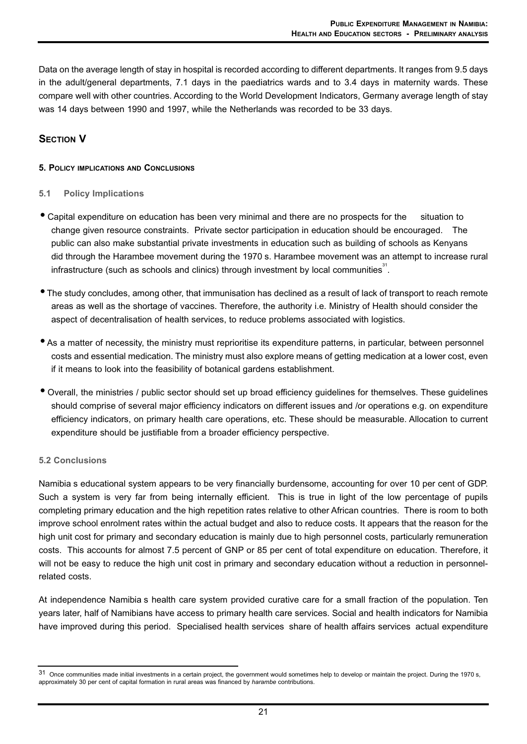Data on the average length of stay in hospital is recorded according to different departments. It ranges from 9.5 days in the adult/general departments, 7.1 days in the paediatrics wards and to 3.4 days in maternity wards. These compare well with other countries. According to the World Development Indicators, Germany average length of stay was 14 days between 1990 and 1997, while the Netherlands was recorded to be 33 days.

# **SECTION V**

#### **5. POLICY IMPLICATIONS AND CONCLUSIONS**

#### **5.1 Policy Implications**

- Capital expenditure on education has been very minimal and there are no prospects for the situation to change given resource constraints. Private sector participation in education should be encouraged. The public can also make substantial private investments in education such as building of schools as Kenyans did through the Harambee movement during the 1970 s. Harambee movement was an attempt to increase rural infrastructure (such as schools and clinics) through investment by local communities<sup>31</sup>.
- The study concludes, among other, that immunisation has declined as a result of lack of transport to reach remote areas as well as the shortage of vaccines. Therefore, the authority i.e. Ministry of Health should consider the aspect of decentralisation of health services, to reduce problems associated with logistics.
- As a matter of necessity, the ministry must reprioritise its expenditure patterns, in particular, between personnel costs and essential medication. The ministry must also explore means of getting medication at a lower cost, even if it means to look into the feasibility of botanical gardens establishment.
- Overall, the ministries / public sector should set up broad efficiency guidelines for themselves. These guidelines should comprise of several major efficiency indicators on different issues and /or operations e.g. on expenditure efficiency indicators, on primary health care operations, etc. These should be measurable. Allocation to current expenditure should be justifiable from a broader efficiency perspective.

## **5.2 Conclusions**

Namibia s educational system appears to be very financially burdensome, accounting for over 10 per cent of GDP. Such a system is very far from being internally efficient. This is true in light of the low percentage of pupils completing primary education and the high repetition rates relative to other African countries. There is room to both improve school enrolment rates within the actual budget and also to reduce costs. It appears that the reason for the high unit cost for primary and secondary education is mainly due to high personnel costs, particularly remuneration costs. This accounts for almost 7.5 percent of GNP or 85 per cent of total expenditure on education. Therefore, it will not be easy to reduce the high unit cost in primary and secondary education without a reduction in personnelrelated costs.

At independence Namibia s health care system provided curative care for a small fraction of the population. Ten years later, half of Namibians have access to primary health care services. Social and health indicators for Namibia have improved during this period. Specialised health services share of health affairs services actual expenditure

<sup>31</sup> Once communities made initial investments in a certain project, the government would sometimes help to develop or maintain the project. During the 1970 s, approximately 30 per cent of capital formation in rural areas was financed by *harambe* contributions.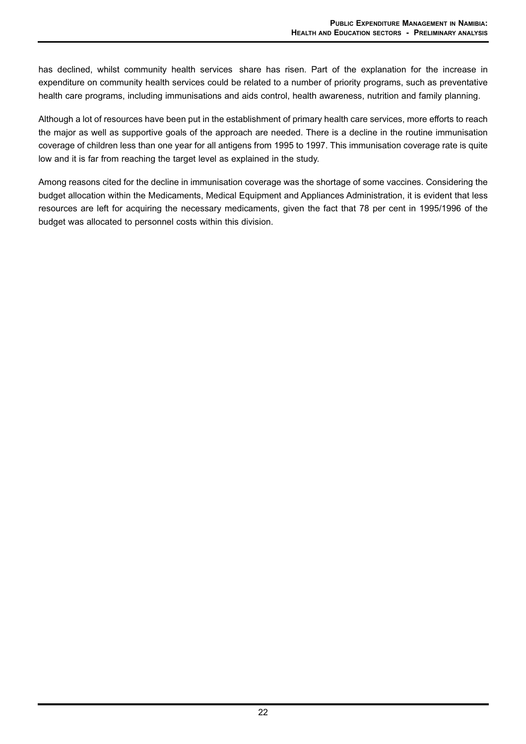has declined, whilst community health services share has risen. Part of the explanation for the increase in expenditure on community health services could be related to a number of priority programs, such as preventative health care programs, including immunisations and aids control, health awareness, nutrition and family planning.

Although a lot of resources have been put in the establishment of primary health care services, more efforts to reach the major as well as supportive goals of the approach are needed. There is a decline in the routine immunisation coverage of children less than one year for all antigens from 1995 to 1997. This immunisation coverage rate is quite low and it is far from reaching the target level as explained in the study.

Among reasons cited for the decline in immunisation coverage was the shortage of some vaccines. Considering the budget allocation within the Medicaments, Medical Equipment and Appliances Administration, it is evident that less resources are left for acquiring the necessary medicaments, given the fact that 78 per cent in 1995/1996 of the budget was allocated to personnel costs within this division.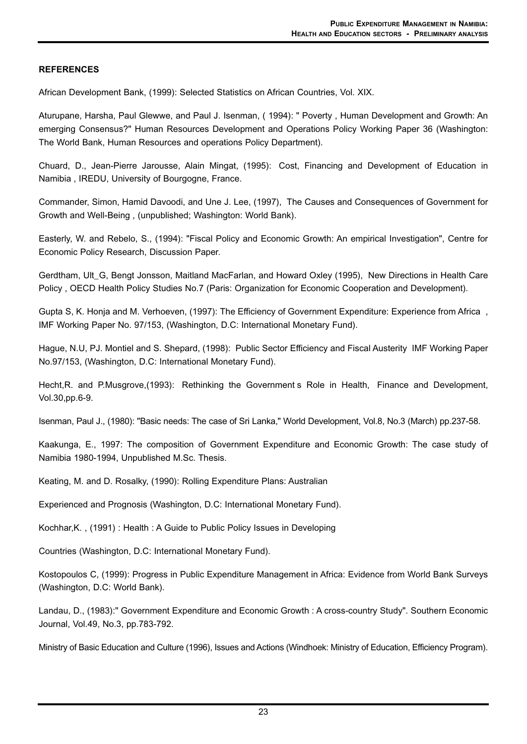## **REFERENCES**

African Development Bank, (1999): Selected Statistics on African Countries, Vol. XIX.

Aturupane, Harsha, Paul Glewwe, and Paul J. Isenman, ( 1994): " Poverty , Human Development and Growth: An emerging Consensus?" Human Resources Development and Operations Policy Working Paper 36 (Washington: The World Bank, Human Resources and operations Policy Department).

Chuard, D., Jean-Pierre Jarousse, Alain Mingat, (1995): Cost, Financing and Development of Education in Namibia , IREDU, University of Bourgogne, France.

Commander, Simon, Hamid Davoodi, and Une J. Lee, (1997), The Causes and Consequences of Government for Growth and Well-Being , (unpublished; Washington: World Bank).

Easterly, W. and Rebelo, S., (1994): "Fiscal Policy and Economic Growth: An empirical Investigation", Centre for Economic Policy Research, Discussion Paper.

Gerdtham, Ult\_G, Bengt Jonsson, Maitland MacFarlan, and Howard Oxley (1995), New Directions in Health Care Policy , OECD Health Policy Studies No.7 (Paris: Organization for Economic Cooperation and Development).

Gupta S, K. Honja and M. Verhoeven, (1997): The Efficiency of Government Expenditure: Experience from Africa , IMF Working Paper No. 97/153, (Washington, D.C: International Monetary Fund).

Hague, N.U, PJ. Montiel and S. Shepard, (1998): Public Sector Efficiency and Fiscal Austerity IMF Working Paper No.97/153, (Washington, D.C: International Monetary Fund).

Hecht,R. and P.Musgrove,(1993): Rethinking the Government s Role in Health, Finance and Development, Vol.30,pp.6-9.

Isenman, Paul J., (1980): "Basic needs: The case of Sri Lanka," World Development, Vol.8, No.3 (March) pp.237-58.

Kaakunga, E., 1997: The composition of Government Expenditure and Economic Growth: The case study of Namibia 1980-1994, Unpublished M.Sc. Thesis.

Keating, M. and D. Rosalky, (1990): Rolling Expenditure Plans: Australian

Experienced and Prognosis (Washington, D.C: International Monetary Fund).

Kochhar,K. , (1991) : Health : A Guide to Public Policy Issues in Developing

Countries (Washington, D.C: International Monetary Fund).

Kostopoulos C, (1999): Progress in Public Expenditure Management in Africa: Evidence from World Bank Surveys (Washington, D.C: World Bank).

Landau, D., (1983):" Government Expenditure and Economic Growth : A cross-country Study". Southern Economic Journal, Vol.49, No.3, pp.783-792.

Ministry of Basic Education and Culture (1996), Issues and Actions (Windhoek: Ministry of Education, Efficiency Program).